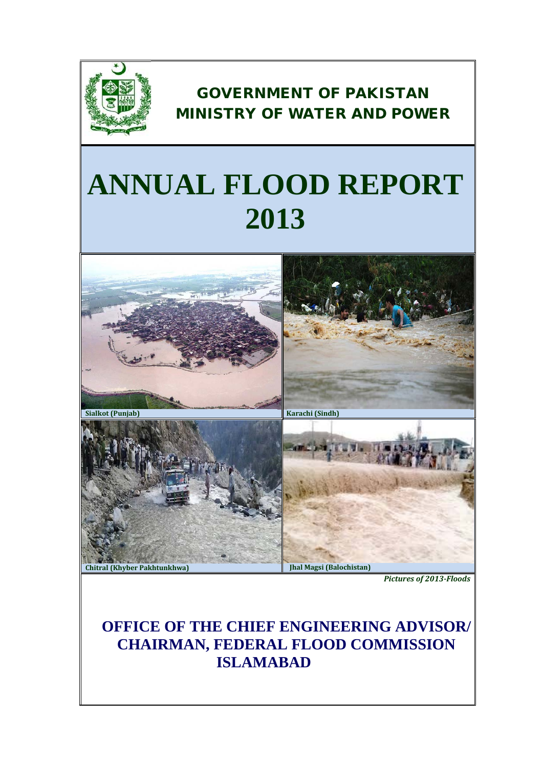

# GOVERNMENT OF PAKISTAN MINISTRY OF WATER AND POWER

# **ANNUAL FLOOD REPORT 2013**



*Pictures of 2013-Floods*

# **OFFICE OF THE CHIEF ENGINEERING ADVISOR/ CHAIRMAN, FEDERAL FLOOD COMMISSION ISLAMABAD**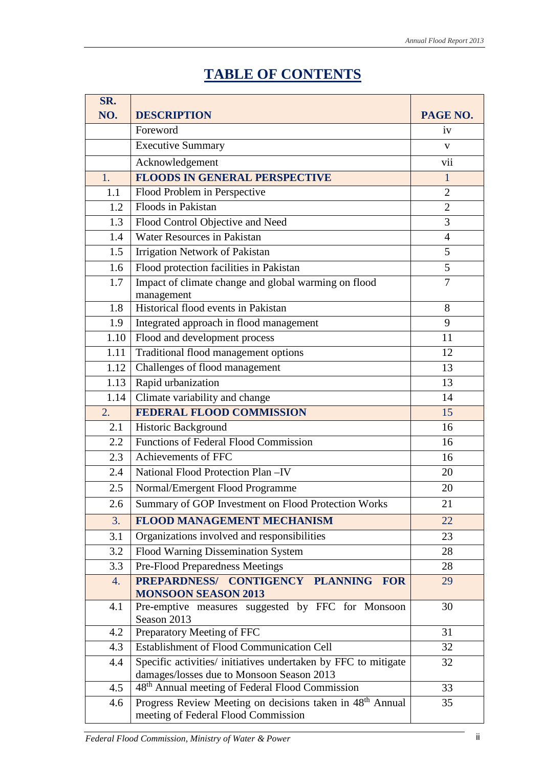# **TABLE OF CONTENTS**

| SR.  |                                                                                                              |                |
|------|--------------------------------------------------------------------------------------------------------------|----------------|
| NO.  | <b>DESCRIPTION</b>                                                                                           | PAGE NO.       |
|      | Foreword                                                                                                     | 1V             |
|      | <b>Executive Summary</b>                                                                                     | V              |
|      | Acknowledgement                                                                                              | vii            |
| 1.   | <b>FLOODS IN GENERAL PERSPECTIVE</b>                                                                         | $\mathbf{1}$   |
| 1.1  | Flood Problem in Perspective                                                                                 | $\overline{2}$ |
| 1.2  | Floods in Pakistan                                                                                           | $\overline{2}$ |
| 1.3  | Flood Control Objective and Need                                                                             | 3              |
| 1.4  | <b>Water Resources in Pakistan</b>                                                                           | $\overline{4}$ |
| 1.5  | Irrigation Network of Pakistan                                                                               | 5              |
| 1.6  | Flood protection facilities in Pakistan                                                                      | 5              |
| 1.7  | Impact of climate change and global warming on flood                                                         | $\overline{7}$ |
|      | management                                                                                                   |                |
| 1.8  | Historical flood events in Pakistan                                                                          | 8              |
| 1.9  | Integrated approach in flood management                                                                      | 9              |
| 1.10 | Flood and development process                                                                                | 11             |
| 1.11 | Traditional flood management options                                                                         | 12             |
| 1.12 | Challenges of flood management                                                                               | 13             |
| 1.13 | Rapid urbanization                                                                                           | 13             |
| 1.14 | Climate variability and change                                                                               | 14             |
| 2.   | <b>FEDERAL FLOOD COMMISSION</b>                                                                              | 15             |
| 2.1  | Historic Background                                                                                          | 16             |
| 2.2  | Functions of Federal Flood Commission                                                                        | 16             |
| 2.3  | Achievements of FFC                                                                                          | 16             |
| 2.4  | National Flood Protection Plan - IV                                                                          | 20             |
| 2.5  | Normal/Emergent Flood Programme                                                                              | 20             |
| 2.6  | Summary of GOP Investment on Flood Protection Works                                                          | 21             |
| 3.   | <b>FLOOD MANAGEMENT MECHANISM</b>                                                                            | 22             |
| 3.1  | Organizations involved and responsibilities                                                                  | 23             |
| 3.2  | Flood Warning Dissemination System                                                                           | 28             |
| 3.3  | Pre-Flood Preparedness Meetings                                                                              | 28             |
| 4.   | PREPARDNESS/ CONTIGENCY PLANNING<br><b>FOR</b><br><b>MONSOON SEASON 2013</b>                                 | 29             |
| 4.1  | Pre-emptive measures suggested by FFC for Monsoon<br>Season 2013                                             | 30             |
| 4.2  | Preparatory Meeting of FFC                                                                                   | 31             |
| 4.3  | <b>Establishment of Flood Communication Cell</b>                                                             | 32             |
| 4.4  | Specific activities/ initiatives undertaken by FFC to mitigate                                               | 32             |
|      | damages/losses due to Monsoon Season 2013                                                                    |                |
| 4.5  | 48 <sup>th</sup> Annual meeting of Federal Flood Commission                                                  | 33             |
| 4.6  | Progress Review Meeting on decisions taken in 48 <sup>th</sup> Annual<br>meeting of Federal Flood Commission | 35             |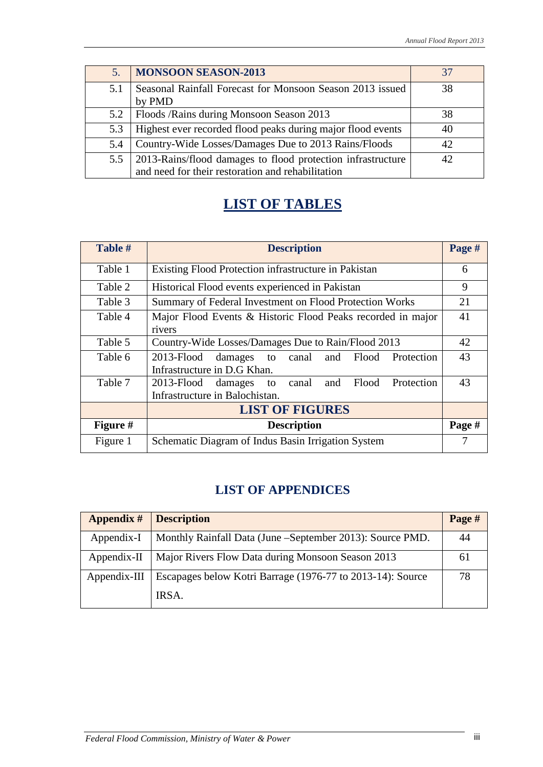| 5.  | <b>MONSOON SEASON-2013</b>                                  | 37       |
|-----|-------------------------------------------------------------|----------|
| 5.1 | Seasonal Rainfall Forecast for Monsoon Season 2013 issued   | 38       |
|     | by PMD                                                      |          |
|     | 5.2   Floods / Rains during Monsoon Season 2013             | 38       |
| 5.3 | Highest ever recorded flood peaks during major flood events | 40       |
| 5.4 | Country-Wide Losses/Damages Due to 2013 Rains/Floods        | 42.      |
| 5.5 | 2013-Rains/flood damages to flood protection infrastructure | $\Delta$ |
|     | and need for their restoration and rehabilitation           |          |

# **LIST OF TABLES**

| Table #         | <b>Description</b>                                                                              | Page # |  |  |
|-----------------|-------------------------------------------------------------------------------------------------|--------|--|--|
| Table 1         | Existing Flood Protection infrastructure in Pakistan                                            | 6      |  |  |
| Table 2         | Historical Flood events experienced in Pakistan                                                 | 9      |  |  |
| Table 3         | Summary of Federal Investment on Flood Protection Works                                         |        |  |  |
| Table 4         | Major Flood Events & Historic Flood Peaks recorded in major<br>rivers                           |        |  |  |
| Table 5         | Country-Wide Losses/Damages Due to Rain/Flood 2013                                              |        |  |  |
| Table 6         | $2013 -$ Flood<br>Protection<br>Flood<br>damages to canal<br>and<br>Infrastructure in D.G Khan. |        |  |  |
| Table 7         | 2013-Flood damages to canal<br>Flood Protection<br>and<br>Infrastructure in Balochistan.        |        |  |  |
|                 | <b>LIST OF FIGURES</b>                                                                          |        |  |  |
| <b>Figure</b> # | <b>Description</b>                                                                              | Page # |  |  |
| Figure 1        | Schematic Diagram of Indus Basin Irrigation System                                              |        |  |  |

### **LIST OF APPENDICES**

| <b>Appendix #</b> | <b>Description</b>                                         | Page # |
|-------------------|------------------------------------------------------------|--------|
| Appendix-I        | Monthly Rainfall Data (June – September 2013): Source PMD. | 44     |
| $Appendix-II$     | Major Rivers Flow Data during Monsoon Season 2013          | 6 I    |
| $Appendix-III$    | Escapages below Kotri Barrage (1976-77 to 2013-14): Source | 78     |
|                   | IRSA.                                                      |        |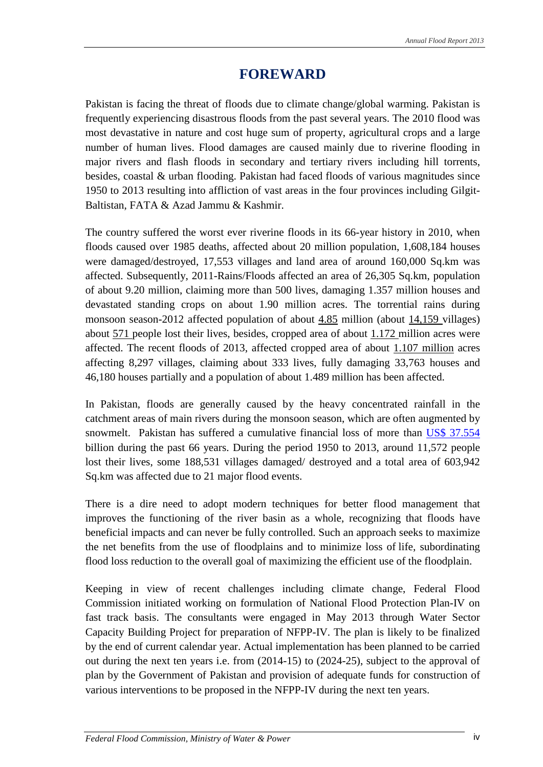# **FOREWARD**

Pakistan is facing the threat of floods due to climate change/global warming. Pakistan is frequently experiencing disastrous floods from the past several years. The 2010 flood was most devastative in nature and cost huge sum of property, agricultural crops and a large number of human lives. Flood damages are caused mainly due to riverine flooding in major rivers and flash floods in secondary and tertiary rivers including hill torrents, besides, coastal & urban flooding. Pakistan had faced floods of various magnitudes since 1950 to 2013 resulting into affliction of vast areas in the four provinces including Gilgit-Baltistan, FATA & Azad Jammu & Kashmir.

The country suffered the worst ever riverine floods in its 66-year history in 2010, when floods caused over 1985 deaths, affected about 20 million population, 1,608,184 houses were damaged/destroyed, 17,553 villages and land area of around 160,000 Sq.km was affected. Subsequently, 2011-Rains/Floods affected an area of 26,305 Sq.km, population of about 9.20 million, claiming more than 500 lives, damaging 1.357 million houses and devastated standing crops on about 1.90 million acres. The torrential rains during monsoon season-2012 affected population of about  $4.85$  million (about  $14,159$  villages) about 571 people lost their lives, besides, cropped area of about 1.172 million acres were affected. The recent floods of 2013, affected cropped area of about 1.107 million acres affecting 8,297 villages, claiming about 333 lives, fully damaging 33,763 houses and 46,180 houses partially and a population of about 1.489 million has been affected.

In Pakistan, floods are generally caused by the heavy concentrated rainfall in the catchment areas of main rivers during the monsoon season, which are often augmented by snowmelt. Pakistan has suffered a cumulative financial loss of more than US\$ 37.554 billion during the past 66 years. During the period 1950 to 2013, around 11,572 people lost their lives, some 188,531 villages damaged/ destroyed and a total area of 603,942 Sq.km was affected due to 21 major flood events.

There is a dire need to adopt modern techniques for better flood management that improves the functioning of the river basin as a whole, recognizing that floods have beneficial impacts and can never be fully controlled. Such an approach seeks to maximize the net benefits from the use of floodplains and to minimize loss of life, subordinating flood loss reduction to the overall goal of maximizing the efficient use of the floodplain.

Keeping in view of recent challenges including climate change, Federal Flood Commission initiated working on formulation of National Flood Protection Plan-IV on fast track basis. The consultants were engaged in May 2013 through Water Sector Capacity Building Project for preparation of NFPP-IV. The plan is likely to be finalized by the end of current calendar year. Actual implementation has been planned to be carried out during the next ten years i.e. from (2014-15) to (2024-25), subject to the approval of plan by the Government of Pakistan and provision of adequate funds for construction of various interventions to be proposed in the NFPP-IV during the next ten years.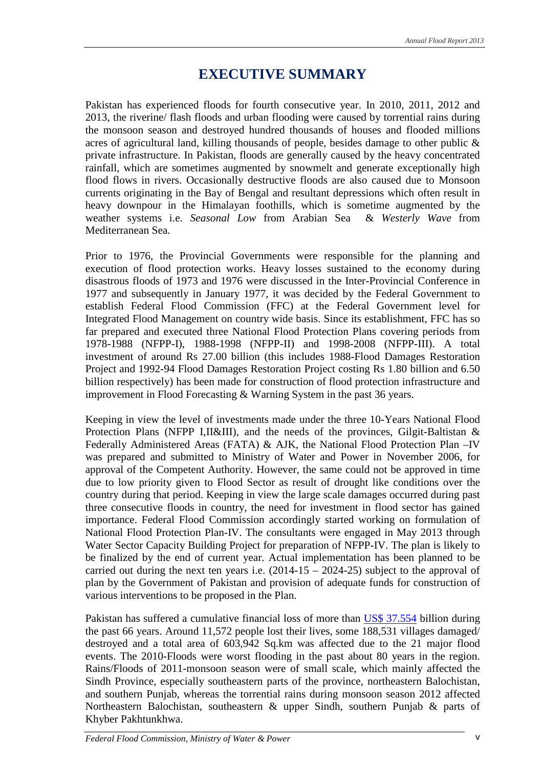# **EXECUTIVE SUMMARY**

Pakistan has experienced floods for fourth consecutive year. In 2010, 2011, 2012 and 2013, the riverine/ flash floods and urban flooding were caused by torrential rains during the monsoon season and destroyed hundred thousands of houses and flooded millions acres of agricultural land, killing thousands of people, besides damage to other public & private infrastructure. In Pakistan, floods are generally caused by the heavy concentrated rainfall, which are sometimes augmented by snowmelt and generate exceptionally high flood flows in rivers. Occasionally destructive floods are also caused due to Monsoon currents originating in the Bay of Bengal and resultant depressions which often result in heavy downpour in the Himalayan foothills, which is sometime augmented by the weather systems i.e. *Seasonal Low* from Arabian Sea & *Westerly Wave* from Mediterranean Sea*.*

Prior to 1976, the Provincial Governments were responsible for the planning and execution of flood protection works. Heavy losses sustained to the economy during disastrous floods of 1973 and 1976 were discussed in the Inter-Provincial Conference in 1977 and subsequently in January 1977, it was decided by the Federal Government to establish Federal Flood Commission (FFC) at the Federal Government level for Integrated Flood Management on country wide basis. Since its establishment, FFC has so far prepared and executed three National Flood Protection Plans covering periods from 1978-1988 (NFPP-I), 1988-1998 (NFPP-II) and 1998-2008 (NFPP-III). A total investment of around Rs 27.00 billion (this includes 1988-Flood Damages Restoration Project and 1992-94 Flood Damages Restoration Project costing Rs 1.80 billion and 6.50 billion respectively) has been made for construction of flood protection infrastructure and improvement in Flood Forecasting & Warning System in the past 36 years.

Keeping in view the level of investments made under the three 10-Years National Flood Protection Plans (NFPP I,II&III), and the needs of the provinces, Gilgit-Baltistan & Federally Administered Areas (FATA) & AJK, the National Flood Protection Plan –IV was prepared and submitted to Ministry of Water and Power in November 2006, for approval of the Competent Authority. However, the same could not be approved in time due to low priority given to Flood Sector as result of drought like conditions over the country during that period. Keeping in view the large scale damages occurred during past three consecutive floods in country, the need for investment in flood sector has gained importance. Federal Flood Commission accordingly started working on formulation of National Flood Protection Plan-IV. The consultants were engaged in May 2013 through Water Sector Capacity Building Project for preparation of NFPP-IV. The plan is likely to be finalized by the end of current year. Actual implementation has been planned to be carried out during the next ten years i.e.  $(2014-15 - 2024-25)$  subject to the approval of plan by the Government of Pakistan and provision of adequate funds for construction of various interventions to be proposed in the Plan.

Pakistan has suffered a cumulative financial loss of more than US\$ 37.554 billion during the past 66 years. Around 11,572 people lost their lives, some 188,531 villages damaged/ destroyed and a total area of 603,942 Sq.km was affected due to the 21 major flood events. The 2010-Floods were worst flooding in the past about 80 years in the region. Rains/Floods of 2011-monsoon season were of small scale, which mainly affected the Sindh Province, especially southeastern parts of the province, northeastern Balochistan, and southern Punjab, whereas the torrential rains during monsoon season 2012 affected Northeastern Balochistan, southeastern & upper Sindh, southern Punjab & parts of Khyber Pakhtunkhwa.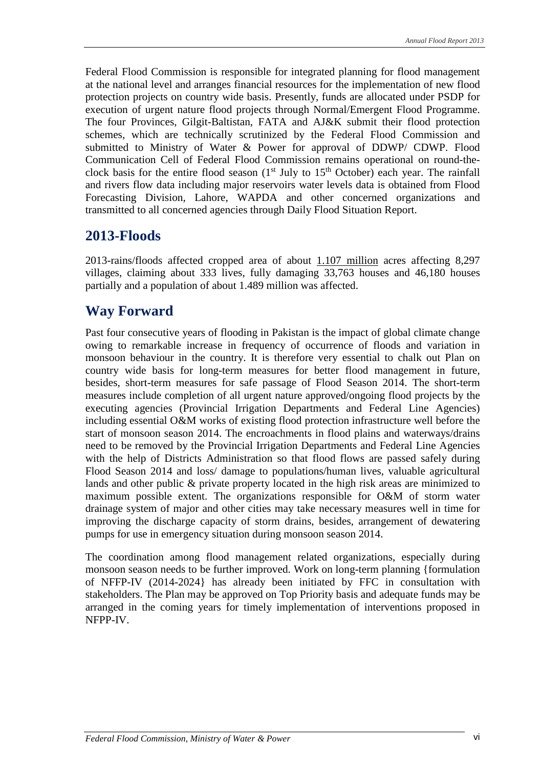Federal Flood Commission is responsible for integrated planning for flood management at the national level and arranges financial resources for the implementation of new flood protection projects on country wide basis. Presently, funds are allocated under PSDP for execution of urgent nature flood projects through Normal/Emergent Flood Programme. The four Provinces, Gilgit-Baltistan, FATA and AJ&K submit their flood protection schemes, which are technically scrutinized by the Federal Flood Commission and submitted to Ministry of Water & Power for approval of DDWP/ CDWP. Flood Communication Cell of Federal Flood Commission remains operational on round-theclock basis for the entire flood season  $(1<sup>st</sup>$  July to  $15<sup>th</sup>$  October) each year. The rainfall and rivers flow data including major reservoirs water levels data is obtained from Flood Forecasting Division, Lahore, WAPDA and other concerned organizations and transmitted to all concerned agencies through Daily Flood Situation Report.

### **2013-Floods**

2013-rains/floods affected cropped area of about 1.107 million acres affecting 8,297 villages, claiming about 333 lives, fully damaging 33,763 houses and 46,180 houses partially and a population of about 1.489 million was affected.

# **Way Forward**

Past four consecutive years of flooding in Pakistan is the impact of global climate change owing to remarkable increase in frequency of occurrence of floods and variation in monsoon behaviour in the country. It is therefore very essential to chalk out Plan on country wide basis for long-term measures for better flood management in future, besides, short-term measures for safe passage of Flood Season 2014. The short-term measures include completion of all urgent nature approved/ongoing flood projects by the executing agencies (Provincial Irrigation Departments and Federal Line Agencies) including essential O&M works of existing flood protection infrastructure well before the start of monsoon season 2014. The encroachments in flood plains and waterways/drains need to be removed by the Provincial Irrigation Departments and Federal Line Agencies with the help of Districts Administration so that flood flows are passed safely during Flood Season 2014 and loss/ damage to populations/human lives, valuable agricultural lands and other public & private property located in the high risk areas are minimized to maximum possible extent. The organizations responsible for O&M of storm water drainage system of major and other cities may take necessary measures well in time for improving the discharge capacity of storm drains, besides, arrangement of dewatering pumps for use in emergency situation during monsoon season 2014.

The coordination among flood management related organizations, especially during monsoon season needs to be further improved. Work on long-term planning {formulation of NFFP-IV (2014-2024} has already been initiated by FFC in consultation with stakeholders. The Plan may be approved on Top Priority basis and adequate funds may be arranged in the coming years for timely implementation of interventions proposed in NFPP-IV.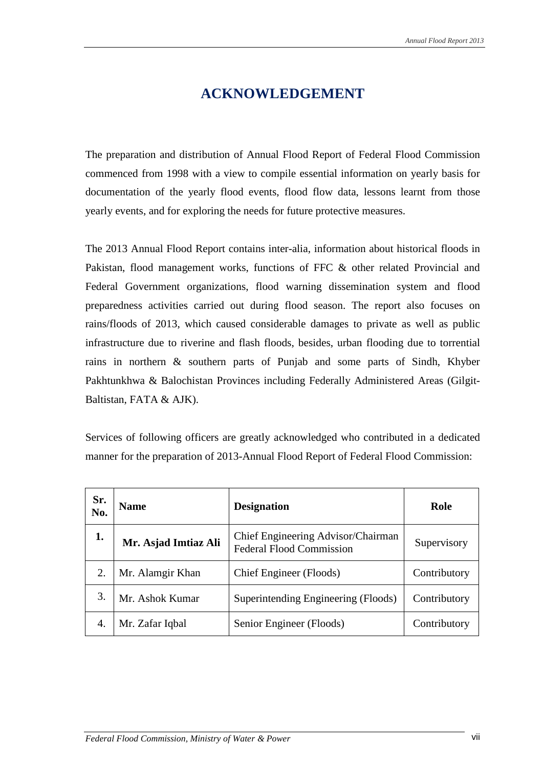# **ACKNOWLEDGEMENT**

The preparation and distribution of Annual Flood Report of Federal Flood Commission commenced from 1998 with a view to compile essential information on yearly basis for documentation of the yearly flood events, flood flow data, lessons learnt from those yearly events, and for exploring the needs for future protective measures.

The 2013 Annual Flood Report contains inter-alia, information about historical floods in Pakistan, flood management works, functions of FFC & other related Provincial and Federal Government organizations, flood warning dissemination system and flood preparedness activities carried out during flood season. The report also focuses on rains/floods of 2013, which caused considerable damages to private as well as public infrastructure due to riverine and flash floods, besides, urban flooding due to torrential rains in northern & southern parts of Punjab and some parts of Sindh, Khyber Pakhtunkhwa & Balochistan Provinces including Federally Administered Areas (Gilgit-Baltistan, FATA & AJK).

Services of following officers are greatly acknowledged who contributed in a dedicated manner for the preparation of 2013-Annual Flood Report of Federal Flood Commission:

| Sr.<br>No. | <b>Name</b>          | <b>Designation</b>                                                    | Role         |
|------------|----------------------|-----------------------------------------------------------------------|--------------|
| 1.         | Mr. Asjad Imtiaz Ali | Chief Engineering Advisor/Chairman<br><b>Federal Flood Commission</b> | Supervisory  |
| 2.         | Mr. Alamgir Khan     | Chief Engineer (Floods)                                               | Contributory |
| 3.         | Mr. Ashok Kumar      | Superintending Engineering (Floods)                                   | Contributory |
| 4.         | Mr. Zafar Iqbal      | Senior Engineer (Floods)                                              | Contributory |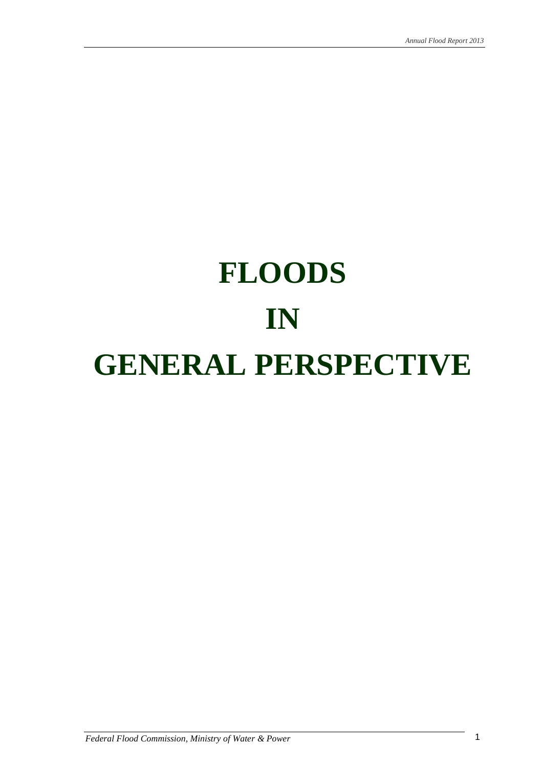# **FLOODS IN GENERAL PERSPECTIVE**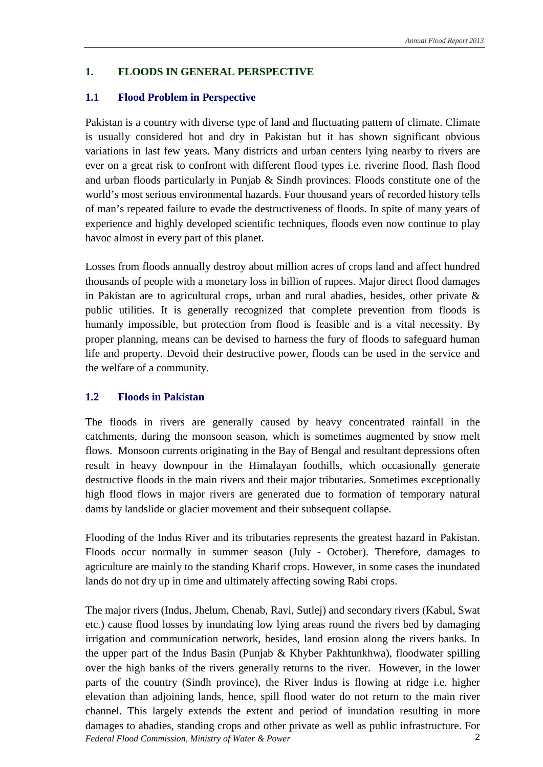#### **1. FLOODS IN GENERAL PERSPECTIVE**

#### **1.1 Flood Problem in Perspective**

Pakistan is a country with diverse type of land and fluctuating pattern of climate. Climate is usually considered hot and dry in Pakistan but it has shown significant obvious variations in last few years. Many districts and urban centers lying nearby to rivers are ever on a great risk to confront with different flood types i.e. riverine flood, flash flood and urban floods particularly in Punjab & Sindh provinces. Floods constitute one of the world's most serious environmental hazards. Four thousand years of recorded history tells of man's repeated failure to evade the destructiveness of floods. In spite of many years of experience and highly developed scientific techniques, floods even now continue to play havoc almost in every part of this planet.

Losses from floods annually destroy about million acres of crops land and affect hundred thousands of people with a monetary loss in billion of rupees. Major direct flood damages in Pakistan are to agricultural crops, urban and rural abadies, besides, other private & public utilities. It is generally recognized that complete prevention from floods is humanly impossible, but protection from flood is feasible and is a vital necessity. By proper planning, means can be devised to harness the fury of floods to safeguard human life and property. Devoid their destructive power, floods can be used in the service and the welfare of a community.

#### **1.2 Floods in Pakistan**

The floods in rivers are generally caused by heavy concentrated rainfall in the catchments, during the monsoon season, which is sometimes augmented by snow melt flows. Monsoon currents originating in the Bay of Bengal and resultant depressions often result in heavy downpour in the Himalayan foothills, which occasionally generate destructive floods in the main rivers and their major tributaries. Sometimes exceptionally high flood flows in major rivers are generated due to formation of temporary natural dams by landslide or glacier movement and their subsequent collapse.

Flooding of the Indus River and its tributaries represents the greatest hazard in Pakistan. Floods occur normally in summer season (July - October). Therefore, damages to agriculture are mainly to the standing Kharif crops. However, in some cases the inundated lands do not dry up in time and ultimately affecting sowing Rabi crops.

The major rivers (Indus, Jhelum, Chenab, Ravi, Sutlej) and secondary rivers (Kabul, Swat etc.) cause flood losses by inundating low lying areas round the rivers bed by damaging irrigation and communication network, besides, land erosion along the rivers banks. In the upper part of the Indus Basin (Punjab & Khyber Pakhtunkhwa), floodwater spilling over the high banks of the rivers generally returns to the river. However, in the lower parts of the country (Sindh province), the River Indus is flowing at ridge i.e. higher elevation than adjoining lands, hence, spill flood water do not return to the main river channel. This largely extends the extent and period of inundation resulting in more damages to abadies, standing crops and other private as well as public infrastructure. For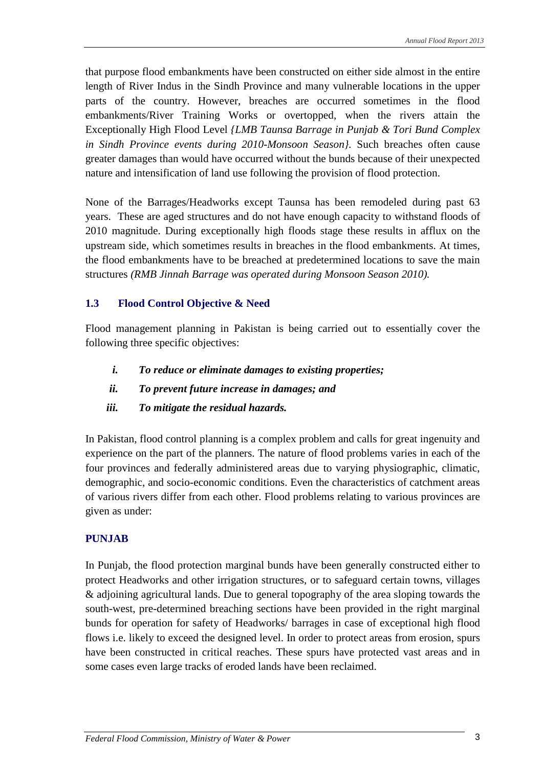that purpose flood embankments have been constructed on either side almost in the entire length of River Indus in the Sindh Province and many vulnerable locations in the upper parts of the country. However, breaches are occurred sometimes in the flood embankments/River Training Works or overtopped, when the rivers attain the Exceptionally High Flood Level *{LMB Taunsa Barrage in Punjab & Tori Bund Complex in Sindh Province events during 2010-Monsoon Season}.* Such breaches often cause greater damages than would have occurred without the bunds because of their unexpected nature and intensification of land use following the provision of flood protection.

None of the Barrages/Headworks except Taunsa has been remodeled during past 63 years. These are aged structures and do not have enough capacity to withstand floods of 2010 magnitude. During exceptionally high floods stage these results in afflux on the upstream side, which sometimes results in breaches in the flood embankments. At times, the flood embankments have to be breached at predetermined locations to save the main structures *(RMB Jinnah Barrage was operated during Monsoon Season 2010).*

#### **1.3 Flood Control Objective & Need**

Flood management planning in Pakistan is being carried out to essentially cover the following three specific objectives:

- *i. To reduce or eliminate damages to existing properties;*
- *ii. To prevent future increase in damages; and*
- *iii. To mitigate the residual hazards.*

In Pakistan, flood control planning is a complex problem and calls for great ingenuity and experience on the part of the planners. The nature of flood problems varies in each of the four provinces and federally administered areas due to varying physiographic, climatic, demographic, and socio-economic conditions. Even the characteristics of catchment areas of various rivers differ from each other. Flood problems relating to various provinces are given as under:

#### **PUNJAB**

In Punjab, the flood protection marginal bunds have been generally constructed either to protect Headworks and other irrigation structures, or to safeguard certain towns, villages & adjoining agricultural lands. Due to general topography of the area sloping towards the south-west, pre-determined breaching sections have been provided in the right marginal bunds for operation for safety of Headworks/ barrages in case of exceptional high flood flows i.e. likely to exceed the designed level. In order to protect areas from erosion, spurs have been constructed in critical reaches. These spurs have protected vast areas and in some cases even large tracks of eroded lands have been reclaimed.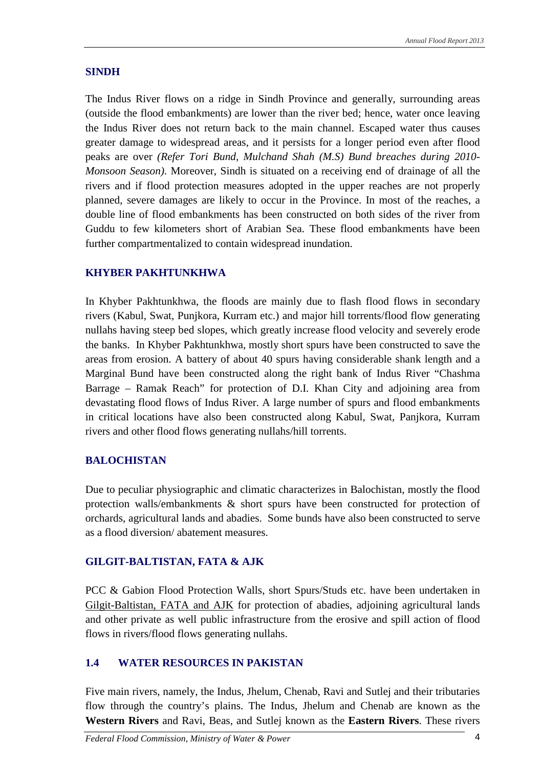#### **SINDH**

The Indus River flows on a ridge in Sindh Province and generally, surrounding areas (outside the flood embankments) are lower than the river bed; hence, water once leaving the Indus River does not return back to the main channel. Escaped water thus causes greater damage to widespread areas, and it persists for a longer period even after flood peaks are over *(Refer Tori Bund, Mulchand Shah (M.S) Bund breaches during 2010- Monsoon Season)*. Moreover, Sindh is situated on a receiving end of drainage of all the rivers and if flood protection measures adopted in the upper reaches are not properly planned, severe damages are likely to occur in the Province. In most of the reaches, a double line of flood embankments has been constructed on both sides of the river from Guddu to few kilometers short of Arabian Sea. These flood embankments have been further compartmentalized to contain widespread inundation.

#### **KHYBER PAKHTUNKHWA**

In Khyber Pakhtunkhwa, the floods are mainly due to flash flood flows in secondary rivers (Kabul, Swat, Punjkora, Kurram etc.) and major hill torrents/flood flow generating nullahs having steep bed slopes, which greatly increase flood velocity and severely erode the banks. In Khyber Pakhtunkhwa, mostly short spurs have been constructed to save the areas from erosion. A battery of about 40 spurs having considerable shank length and a Marginal Bund have been constructed along the right bank of Indus River "Chashma Barrage – Ramak Reach" for protection of D.I. Khan City and adjoining area from devastating flood flows of Indus River. A large number of spurs and flood embankments in critical locations have also been constructed along Kabul, Swat, Panjkora, Kurram rivers and other flood flows generating nullahs/hill torrents.

#### **BALOCHISTAN**

Due to peculiar physiographic and climatic characterizes in Balochistan, mostly the flood protection walls/embankments & short spurs have been constructed for protection of orchards, agricultural lands and abadies. Some bunds have also been constructed to serve as a flood diversion/ abatement measures.

#### **GILGIT-BALTISTAN, FATA & AJK**

PCC & Gabion Flood Protection Walls, short Spurs/Studs etc. have been undertaken in Gilgit-Baltistan, FATA and AJK for protection of abadies, adjoining agricultural lands and other private as well public infrastructure from the erosive and spill action of flood flows in rivers/flood flows generating nullahs.

#### **1.4 WATER RESOURCES IN PAKISTAN**

Five main rivers, namely, the Indus, Jhelum, Chenab, Ravi and Sutlej and their tributaries flow through the country's plains. The Indus, Jhelum and Chenab are known as the **Western Rivers** and Ravi, Beas, and Sutlej known as the **Eastern Rivers**. These rivers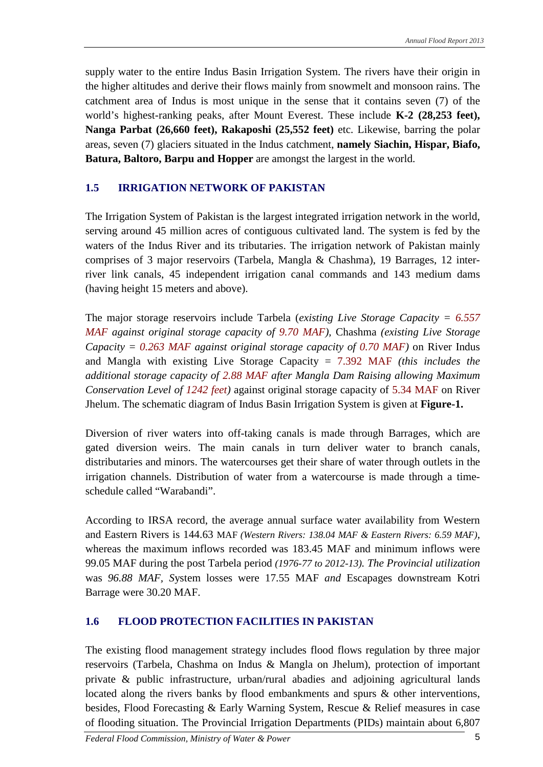supply water to the entire Indus Basin Irrigation System. The rivers have their origin in the higher altitudes and derive their flows mainly from snowmelt and monsoon rains. The catchment area of Indus is most unique in the sense that it contains seven (7) of the world's highest-ranking peaks, after Mount Everest. These include **K-2 (28,253 feet), Nanga Parbat (26,660 feet), Rakaposhi (25,552 feet)** etc. Likewise, barring the polar areas, seven (7) glaciers situated in the Indus catchment, **namely Siachin, Hispar, Biafo, Batura, Baltoro, Barpu and Hopper** are amongst the largest in the world.

#### **1.5 IRRIGATION NETWORK OF PAKISTAN**

The Irrigation System of Pakistan is the largest integrated irrigation network in the world, serving around 45 million acres of contiguous cultivated land. The system is fed by the waters of the Indus River and its tributaries. The irrigation network of Pakistan mainly comprises of 3 major reservoirs (Tarbela, Mangla & Chashma), 19 Barrages, 12 interriver link canals, 45 independent irrigation canal commands and 143 medium dams (having height 15 meters and above).

The major storage reservoirs include Tarbela (*existing Live Storage Capacity = 6.557 MAF against original storage capacity of 9.70 MAF),* Chashma *(existing Live Storage Capacity = 0.263 MAF against original storage capacity of 0.70 MAF)* on River Indus and Mangla with existing Live Storage Capacity = 7.392 MAF *(this includes the additional storage capacity of 2.88 MAF after Mangla Dam Raising allowing Maximum Conservation Level of 1242 feet)* against original storage capacity of 5.34 MAF on River Jhelum. The schematic diagram of Indus Basin Irrigation System is given at **Figure-1.**

Diversion of river waters into off-taking canals is made through Barrages, which are gated diversion weirs. The main canals in turn deliver water to branch canals, distributaries and minors. The watercourses get their share of water through outlets in the irrigation channels. Distribution of water from a watercourse is made through a timeschedule called "Warabandi".

According to IRSA record, the average annual surface water availability from Western and Eastern Rivers is 144.63 MAF *(Western Rivers: 138.04 MAF & Eastern Rivers: 6.59 MAF)*, whereas the maximum inflows recorded was 183.45 MAF and minimum inflows were 99.05 MAF during the post Tarbela period *(1976-77 to 2012-13). The Provincial utilization* was *96.88 MAF, S*ystem losses were 17.55 MAF *and* Escapages downstream Kotri Barrage were 30.20 MAF.

#### **1.6 FLOOD PROTECTION FACILITIES IN PAKISTAN**

The existing flood management strategy includes flood flows regulation by three major reservoirs (Tarbela, Chashma on Indus & Mangla on Jhelum), protection of important private & public infrastructure, urban/rural abadies and adjoining agricultural lands located along the rivers banks by flood embankments and spurs & other interventions, besides, Flood Forecasting & Early Warning System, Rescue & Relief measures in case of flooding situation. The Provincial Irrigation Departments (PIDs) maintain about 6,807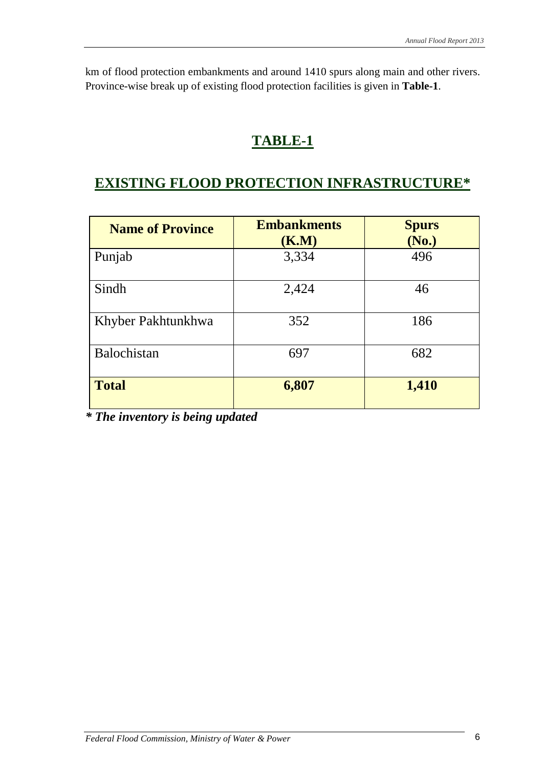km of flood protection embankments and around 1410 spurs along main and other rivers. Province-wise break up of existing flood protection facilities is given in **Table-1**.

# **TABLE-1**

# **EXISTING FLOOD PROTECTION INFRASTRUCTURE\***

| <b>Name of Province</b> | <b>Embankments</b><br>(K.M) | <b>Spurs</b><br>(No.) |
|-------------------------|-----------------------------|-----------------------|
| Punjab                  | 3,334                       | 496                   |
| Sindh                   | 2,424                       | 46                    |
| Khyber Pakhtunkhwa      | 352                         | 186                   |
| Balochistan             | 697                         | 682                   |
| <b>Total</b>            | 6,807                       | 1,410                 |

*\* The inventory is being updated*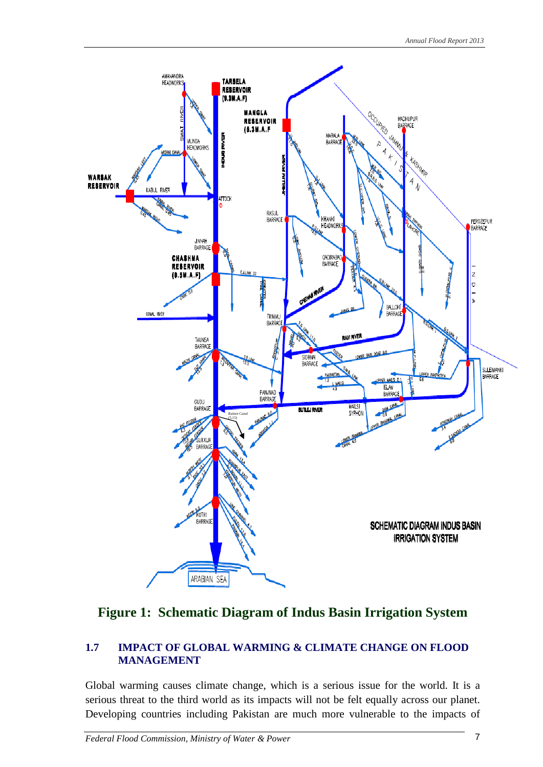

#### **Figure 1: Schematic Diagram of Indus Basin Irrigation System**

#### **1.7 IMPACT OF GLOBAL WARMING & CLIMATE CHANGE ON FLOOD MANAGEMENT**

Global warming causes climate change, which is a serious issue for the world. It is a serious threat to the third world as its impacts will not be felt equally across our planet. Developing countries including Pakistan are much more vulnerable to the impacts of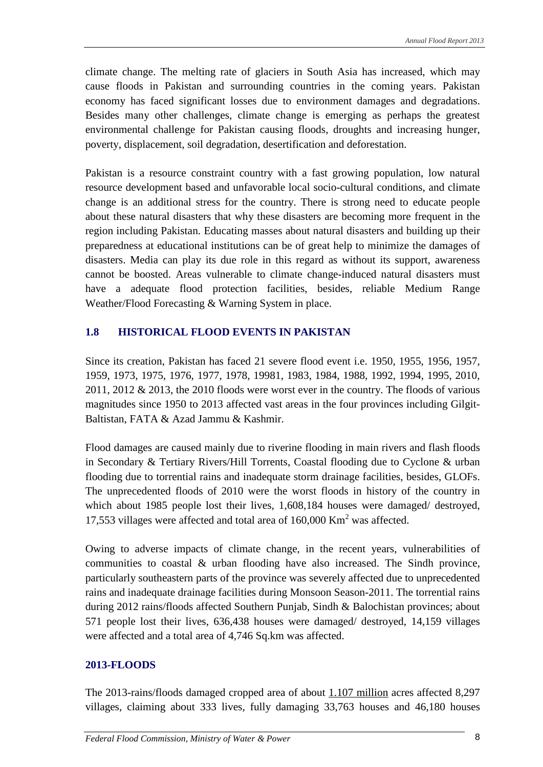climate change. The melting rate of glaciers in South Asia has increased, which may cause floods in Pakistan and surrounding countries in the coming years. Pakistan economy has faced significant losses due to environment damages and degradations. Besides many other challenges, climate change is emerging as perhaps the greatest environmental challenge for Pakistan causing floods, droughts and increasing hunger, poverty, displacement, soil degradation, desertification and deforestation.

Pakistan is a resource constraint country with a fast growing population, low natural resource development based and unfavorable local socio-cultural conditions, and climate change is an additional stress for the country. There is strong need to educate people about these natural disasters that why these disasters are becoming more frequent in the region including Pakistan. Educating masses about natural disasters and building up their preparedness at educational institutions can be of great help to minimize the damages of disasters. Media can play its due role in this regard as without its support, awareness cannot be boosted. Areas vulnerable to climate change-induced natural disasters must have a adequate flood protection facilities, besides, reliable Medium Range Weather/Flood Forecasting & Warning System in place.

#### **1.8 HISTORICAL FLOOD EVENTS IN PAKISTAN**

Since its creation, Pakistan has faced 21 severe flood event i.e. 1950, 1955, 1956, 1957, 1959, 1973, 1975, 1976, 1977, 1978, 19981, 1983, 1984, 1988, 1992, 1994, 1995, 2010, 2011, 2012 & 2013, the 2010 floods were worst ever in the country. The floods of various magnitudes since 1950 to 2013 affected vast areas in the four provinces including Gilgit-Baltistan, FATA & Azad Jammu & Kashmir.

Flood damages are caused mainly due to riverine flooding in main rivers and flash floods in Secondary & Tertiary Rivers/Hill Torrents, Coastal flooding due to Cyclone & urban flooding due to torrential rains and inadequate storm drainage facilities, besides, GLOFs. The unprecedented floods of 2010 were the worst floods in history of the country in which about 1985 people lost their lives, 1,608,184 houses were damaged/ destroyed, 17,553 villages were affected and total area of  $160,000$  Km<sup>2</sup> was affected.

Owing to adverse impacts of climate change, in the recent years, vulnerabilities of communities to coastal & urban flooding have also increased. The Sindh province, particularly southeastern parts of the province was severely affected due to unprecedented rains and inadequate drainage facilities during Monsoon Season-2011. The torrential rains during 2012 rains/floods affected Southern Punjab, Sindh & Balochistan provinces; about 571 people lost their lives, 636,438 houses were damaged/ destroyed, 14,159 villages were affected and a total area of 4,746 Sq.km was affected.

#### **2013-FLOODS**

The 2013-rains/floods damaged cropped area of about 1.107 million acres affected 8,297 villages, claiming about 333 lives, fully damaging 33,763 houses and 46,180 houses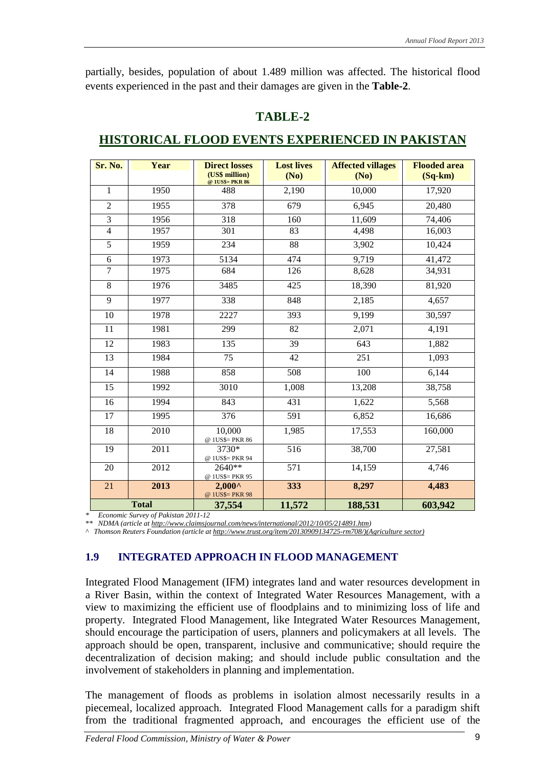partially, besides, population of about 1.489 million was affected. The historical flood events experienced in the past and their damages are given in the **Table-2**.

| П |
|---|
|---|

| Sr. No.         | Year         | <b>Direct losses</b><br>(US\$ million) | <b>Lost lives</b><br>(No) | <b>Affected villages</b><br>(No) | <b>Flooded area</b><br>$(Sq-km)$ |
|-----------------|--------------|----------------------------------------|---------------------------|----------------------------------|----------------------------------|
| $\mathbf{1}$    | 1950         | @ 1US\$= PKR 86<br>488                 | 2,190                     | 10,000                           | 17,920                           |
| $\overline{2}$  | 1955         | 378                                    | 679                       | 6,945                            | 20,480                           |
| $\overline{3}$  | 1956         | 318                                    | 160                       | 11,609                           | 74,406                           |
| $\overline{4}$  | 1957         | 301                                    | 83                        | 4,498                            | 16,003                           |
| 5               | 1959         | 234                                    | 88                        | 3,902                            | 10,424                           |
| $\sqrt{6}$      | 1973         | 5134                                   | 474                       | 9,719                            | 41,472                           |
| 7               | 1975         | 684                                    | 126                       | 8,628                            | 34,931                           |
| 8               | 1976         | 3485                                   | 425                       | 18,390                           | 81,920                           |
| 9               | 1977         | 338                                    | 848                       | 2,185                            | 4,657                            |
| $\overline{10}$ | 1978         | 2227                                   | $\overline{393}$          | 9,199                            | 30,597                           |
| 11              | 1981         | 299                                    | 82                        | 2,071                            | 4,191                            |
| 12              | 1983         | 135                                    | 39                        | 643                              | 1,882                            |
| 13              | 1984         | 75                                     | 42                        | 251                              | 1,093                            |
| 14              | 1988         | 858                                    | 508                       | 100                              | 6,144                            |
| 15              | 1992         | 3010                                   | 1,008                     | 13,208                           | 38,758                           |
| 16              | 1994         | 843                                    | 431                       | 1,622                            | 5,568                            |
| 17              | 1995         | 376                                    | 591                       | 6,852                            | 16,686                           |
| $\overline{18}$ | 2010         | 10,000<br>@ 1US\$= PKR 86              | 1,985                     | 17,553                           | 160,000                          |
| 19              | 2011         | 3730*<br>@ 1US\$= PKR 94               | 516                       | 38,700                           | 27,581                           |
| 20              | 2012         | 2640**<br>@ 1US\$= PKR 95              | 571                       | 14,159                           | 4,746                            |
| 21              | 2013         | $2,000^{\circ}$<br>@ 1US\$= PKR 98     | 333                       | 8,297                            | 4,483                            |
|                 | <b>Total</b> | 37,554                                 | 11,572                    | 188,531                          | 603,942                          |

#### **HISTORICAL FLOOD EVENTS EXPERIENCED IN PAKISTAN**

*\* Economic Survey of Pakistan 2011-12*

*\*\* NDMA (article a[t http://www.claimsjournal.com/news/international/2012/10/05/214891.htm\)](http://www.claimsjournal.com/news/international/2012/10/05/214891.htm)*

*^ Thomson Reuters Foundation (article a[t http://www.trust.org/item/20130909134725-rm708/\)\(Agriculture s](http://www.trust.org/item/20130909134725-rm708/)(Agriculture)ector)* 

#### **1.9 INTEGRATED APPROACH IN FLOOD MANAGEMENT**

Integrated Flood Management (IFM) integrates land and water resources development in a River Basin, within the context of Integrated Water Resources Management, with a view to maximizing the efficient use of floodplains and to minimizing loss of life and property. Integrated Flood Management, like Integrated Water Resources Management, should encourage the participation of users, planners and policymakers at all levels. The approach should be open, transparent, inclusive and communicative; should require the decentralization of decision making; and should include public consultation and the involvement of stakeholders in planning and implementation.

The management of floods as problems in isolation almost necessarily results in a piecemeal, localized approach. Integrated Flood Management calls for a paradigm shift from the traditional fragmented approach, and encourages the efficient use of the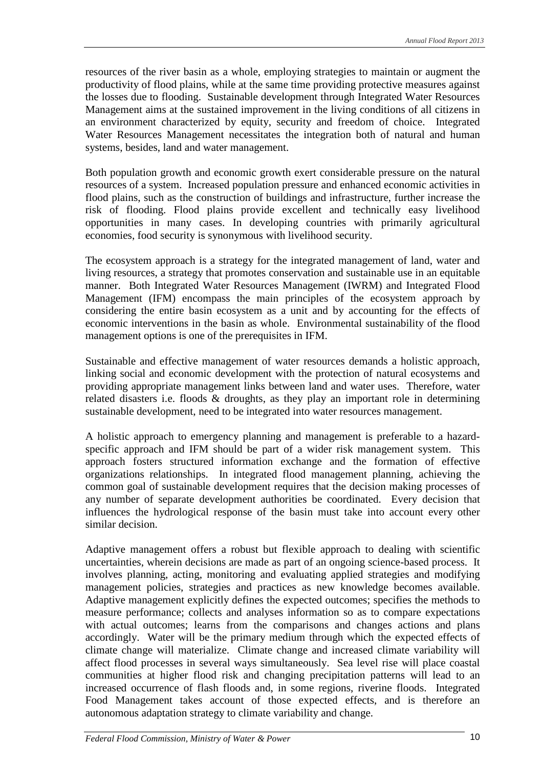resources of the river basin as a whole, employing strategies to maintain or augment the productivity of flood plains, while at the same time providing protective measures against the losses due to flooding. Sustainable development through Integrated Water Resources Management aims at the sustained improvement in the living conditions of all citizens in an environment characterized by equity, security and freedom of choice. Integrated Water Resources Management necessitates the integration both of natural and human systems, besides, land and water management.

Both population growth and economic growth exert considerable pressure on the natural resources of a system. Increased population pressure and enhanced economic activities in flood plains, such as the construction of buildings and infrastructure, further increase the risk of flooding. Flood plains provide excellent and technically easy livelihood opportunities in many cases. In developing countries with primarily agricultural economies, food security is synonymous with livelihood security.

The ecosystem approach is a strategy for the integrated management of land, water and living resources, a strategy that promotes conservation and sustainable use in an equitable manner. Both Integrated Water Resources Management (IWRM) and Integrated Flood Management (IFM) encompass the main principles of the ecosystem approach by considering the entire basin ecosystem as a unit and by accounting for the effects of economic interventions in the basin as whole. Environmental sustainability of the flood management options is one of the prerequisites in IFM.

Sustainable and effective management of water resources demands a holistic approach, linking social and economic development with the protection of natural ecosystems and providing appropriate management links between land and water uses. Therefore, water related disasters i.e. floods & droughts, as they play an important role in determining sustainable development, need to be integrated into water resources management.

A holistic approach to emergency planning and management is preferable to a hazardspecific approach and IFM should be part of a wider risk management system. This approach fosters structured information exchange and the formation of effective organizations relationships. In integrated flood management planning, achieving the common goal of sustainable development requires that the decision making processes of any number of separate development authorities be coordinated. Every decision that influences the hydrological response of the basin must take into account every other similar decision.

Adaptive management offers a robust but flexible approach to dealing with scientific uncertainties, wherein decisions are made as part of an ongoing science-based process. It involves planning, acting, monitoring and evaluating applied strategies and modifying management policies, strategies and practices as new knowledge becomes available. Adaptive management explicitly defines the expected outcomes; specifies the methods to measure performance; collects and analyses information so as to compare expectations with actual outcomes; learns from the comparisons and changes actions and plans accordingly. Water will be the primary medium through which the expected effects of climate change will materialize. Climate change and increased climate variability will affect flood processes in several ways simultaneously. Sea level rise will place coastal communities at higher flood risk and changing precipitation patterns will lead to an increased occurrence of flash floods and, in some regions, riverine floods. Integrated Food Management takes account of those expected effects, and is therefore an autonomous adaptation strategy to climate variability and change.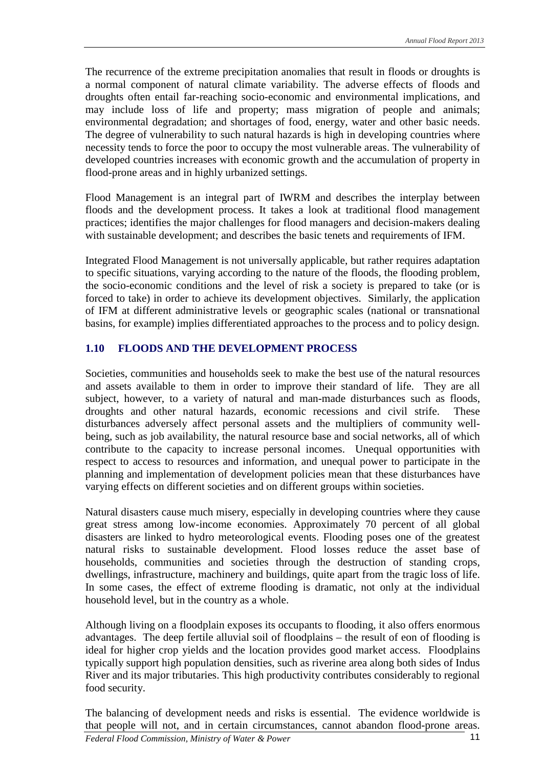The recurrence of the extreme precipitation anomalies that result in floods or droughts is a normal component of natural climate variability. The adverse effects of floods and droughts often entail far-reaching socio-economic and environmental implications, and may include loss of life and property; mass migration of people and animals; environmental degradation; and shortages of food, energy, water and other basic needs. The degree of vulnerability to such natural hazards is high in developing countries where necessity tends to force the poor to occupy the most vulnerable areas. The vulnerability of developed countries increases with economic growth and the accumulation of property in flood-prone areas and in highly urbanized settings.

Flood Management is an integral part of IWRM and describes the interplay between floods and the development process. It takes a look at traditional flood management practices; identifies the major challenges for flood managers and decision-makers dealing with sustainable development; and describes the basic tenets and requirements of IFM.

Integrated Flood Management is not universally applicable, but rather requires adaptation to specific situations, varying according to the nature of the floods, the flooding problem, the socio-economic conditions and the level of risk a society is prepared to take (or is forced to take) in order to achieve its development objectives. Similarly, the application of IFM at different administrative levels or geographic scales (national or transnational basins, for example) implies differentiated approaches to the process and to policy design.

#### **1.10 FLOODS AND THE DEVELOPMENT PROCESS**

Societies, communities and households seek to make the best use of the natural resources and assets available to them in order to improve their standard of life. They are all subject, however, to a variety of natural and man-made disturbances such as floods, droughts and other natural hazards, economic recessions and civil strife. These disturbances adversely affect personal assets and the multipliers of community wellbeing, such as job availability, the natural resource base and social networks, all of which contribute to the capacity to increase personal incomes. Unequal opportunities with respect to access to resources and information, and unequal power to participate in the planning and implementation of development policies mean that these disturbances have varying effects on different societies and on different groups within societies.

Natural disasters cause much misery, especially in developing countries where they cause great stress among low-income economies. Approximately 70 percent of all global disasters are linked to hydro meteorological events. Flooding poses one of the greatest natural risks to sustainable development. Flood losses reduce the asset base of households, communities and societies through the destruction of standing crops, dwellings, infrastructure, machinery and buildings, quite apart from the tragic loss of life. In some cases, the effect of extreme flooding is dramatic, not only at the individual household level, but in the country as a whole.

Although living on a floodplain exposes its occupants to flooding, it also offers enormous advantages. The deep fertile alluvial soil of floodplains – the result of eon of flooding is ideal for higher crop yields and the location provides good market access. Floodplains typically support high population densities, such as riverine area along both sides of Indus River and its major tributaries. This high productivity contributes considerably to regional food security.

The balancing of development needs and risks is essential. The evidence worldwide is that people will not, and in certain circumstances, cannot abandon flood-prone areas.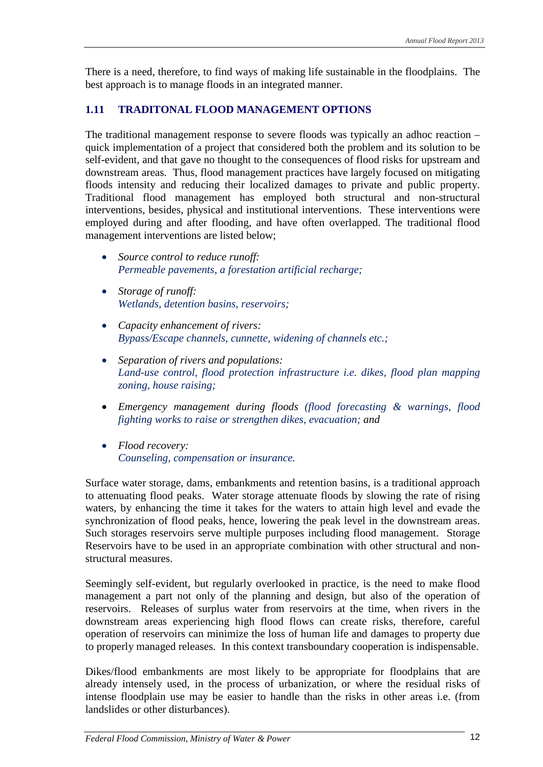There is a need, therefore, to find ways of making life sustainable in the floodplains. The best approach is to manage floods in an integrated manner.

#### **1.11 TRADITONAL FLOOD MANAGEMENT OPTIONS**

The traditional management response to severe floods was typically an adhoc reaction – quick implementation of a project that considered both the problem and its solution to be self-evident, and that gave no thought to the consequences of flood risks for upstream and downstream areas. Thus, flood management practices have largely focused on mitigating floods intensity and reducing their localized damages to private and public property. Traditional flood management has employed both structural and non-structural interventions, besides, physical and institutional interventions. These interventions were employed during and after flooding, and have often overlapped. The traditional flood management interventions are listed below;

- *Source control to reduce runoff: Permeable pavements, a forestation artificial recharge;*
- *Storage of runoff: Wetlands, detention basins, reservoirs;*
- *Capacity enhancement of rivers: Bypass/Escape channels, cunnette, widening of channels etc.;*
- *Separation of rivers and populations: Land-use control, flood protection infrastructure i.e. dikes, flood plan mapping zoning, house raising;*
- *Emergency management during floods (flood forecasting & warnings, flood fighting works to raise or strengthen dikes, evacuation; and*
- *Flood recovery: Counseling, compensation or insurance.*

Surface water storage, dams, embankments and retention basins, is a traditional approach to attenuating flood peaks. Water storage attenuate floods by slowing the rate of rising waters, by enhancing the time it takes for the waters to attain high level and evade the synchronization of flood peaks, hence, lowering the peak level in the downstream areas. Such storages reservoirs serve multiple purposes including flood management. Storage Reservoirs have to be used in an appropriate combination with other structural and nonstructural measures.

Seemingly self-evident, but regularly overlooked in practice, is the need to make flood management a part not only of the planning and design, but also of the operation of reservoirs. Releases of surplus water from reservoirs at the time, when rivers in the downstream areas experiencing high flood flows can create risks, therefore, careful operation of reservoirs can minimize the loss of human life and damages to property due to properly managed releases. In this context transboundary cooperation is indispensable.

Dikes/flood embankments are most likely to be appropriate for floodplains that are already intensely used, in the process of urbanization, or where the residual risks of intense floodplain use may be easier to handle than the risks in other areas i.e. (from landslides or other disturbances).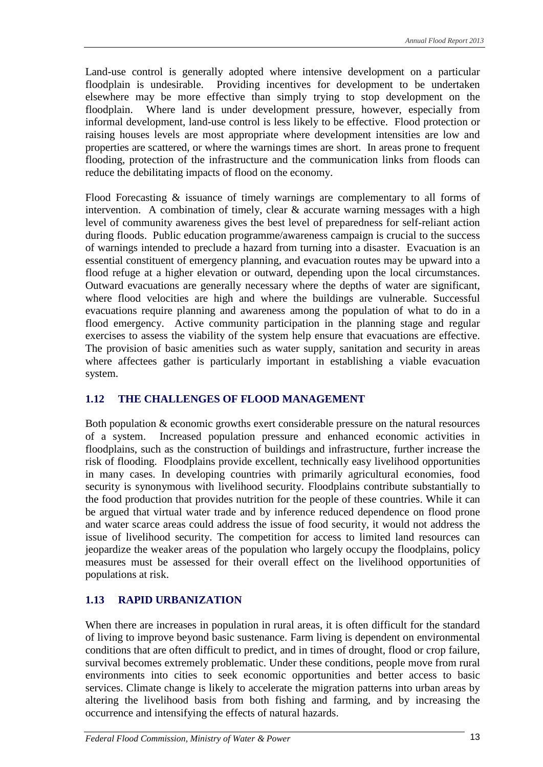Land-use control is generally adopted where intensive development on a particular floodplain is undesirable. Providing incentives for development to be undertaken elsewhere may be more effective than simply trying to stop development on the floodplain. Where land is under development pressure, however, especially from informal development, land-use control is less likely to be effective. Flood protection or raising houses levels are most appropriate where development intensities are low and properties are scattered, or where the warnings times are short. In areas prone to frequent flooding, protection of the infrastructure and the communication links from floods can reduce the debilitating impacts of flood on the economy.

Flood Forecasting & issuance of timely warnings are complementary to all forms of intervention. A combination of timely, clear & accurate warning messages with a high level of community awareness gives the best level of preparedness for self-reliant action during floods. Public education programme/awareness campaign is crucial to the success of warnings intended to preclude a hazard from turning into a disaster. Evacuation is an essential constituent of emergency planning, and evacuation routes may be upward into a flood refuge at a higher elevation or outward, depending upon the local circumstances. Outward evacuations are generally necessary where the depths of water are significant, where flood velocities are high and where the buildings are vulnerable. Successful evacuations require planning and awareness among the population of what to do in a flood emergency. Active community participation in the planning stage and regular exercises to assess the viability of the system help ensure that evacuations are effective. The provision of basic amenities such as water supply, sanitation and security in areas where affectees gather is particularly important in establishing a viable evacuation system.

#### **1.12 THE CHALLENGES OF FLOOD MANAGEMENT**

Both population & economic growths exert considerable pressure on the natural resources of a system. Increased population pressure and enhanced economic activities in floodplains, such as the construction of buildings and infrastructure, further increase the risk of flooding. Floodplains provide excellent, technically easy livelihood opportunities in many cases. In developing countries with primarily agricultural economies, food security is synonymous with livelihood security. Floodplains contribute substantially to the food production that provides nutrition for the people of these countries. While it can be argued that virtual water trade and by inference reduced dependence on flood prone and water scarce areas could address the issue of food security, it would not address the issue of livelihood security. The competition for access to limited land resources can jeopardize the weaker areas of the population who largely occupy the floodplains, policy measures must be assessed for their overall effect on the livelihood opportunities of populations at risk.

#### **1.13 RAPID URBANIZATION**

When there are increases in population in rural areas, it is often difficult for the standard of living to improve beyond basic sustenance. Farm living is dependent on environmental conditions that are often difficult to predict, and in times of drought, flood or crop failure, survival becomes extremely problematic. Under these conditions, people move from rural environments into cities to seek economic opportunities and better access to basic services. Climate change is likely to accelerate the migration patterns into urban areas by altering the livelihood basis from both fishing and farming, and by increasing the occurrence and intensifying the effects of natural hazards.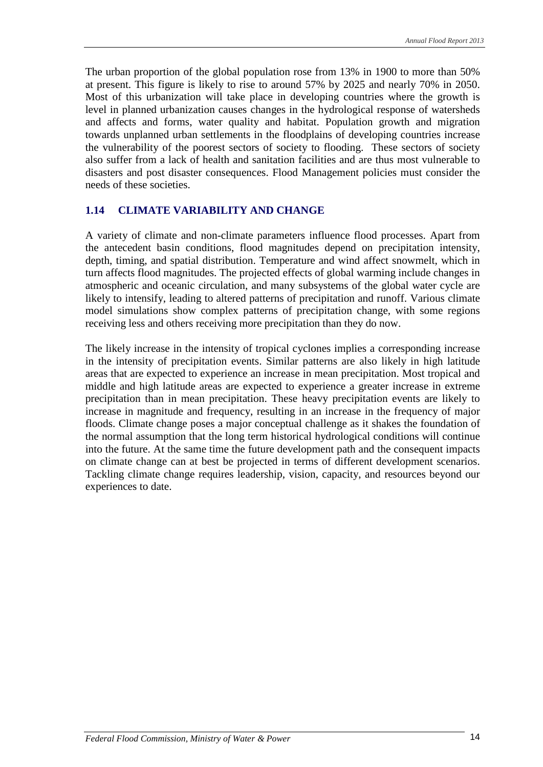The urban proportion of the global population rose from 13% in 1900 to more than 50% at present. This figure is likely to rise to around 57% by 2025 and nearly 70% in 2050. Most of this urbanization will take place in developing countries where the growth is level in planned urbanization causes changes in the hydrological response of watersheds and affects and forms, water quality and habitat. Population growth and migration towards unplanned urban settlements in the floodplains of developing countries increase the vulnerability of the poorest sectors of society to flooding. These sectors of society also suffer from a lack of health and sanitation facilities and are thus most vulnerable to disasters and post disaster consequences. Flood Management policies must consider the needs of these societies.

#### **1.14 CLIMATE VARIABILITY AND CHANGE**

A variety of climate and non-climate parameters influence flood processes. Apart from the antecedent basin conditions, flood magnitudes depend on precipitation intensity, depth, timing, and spatial distribution. Temperature and wind affect snowmelt, which in turn affects flood magnitudes. The projected effects of global warming include changes in atmospheric and oceanic circulation, and many subsystems of the global water cycle are likely to intensify, leading to altered patterns of precipitation and runoff. Various climate model simulations show complex patterns of precipitation change, with some regions receiving less and others receiving more precipitation than they do now.

The likely increase in the intensity of tropical cyclones implies a corresponding increase in the intensity of precipitation events. Similar patterns are also likely in high latitude areas that are expected to experience an increase in mean precipitation. Most tropical and middle and high latitude areas are expected to experience a greater increase in extreme precipitation than in mean precipitation. These heavy precipitation events are likely to increase in magnitude and frequency, resulting in an increase in the frequency of major floods. Climate change poses a major conceptual challenge as it shakes the foundation of the normal assumption that the long term historical hydrological conditions will continue into the future. At the same time the future development path and the consequent impacts on climate change can at best be projected in terms of different development scenarios. Tackling climate change requires leadership, vision, capacity, and resources beyond our experiences to date.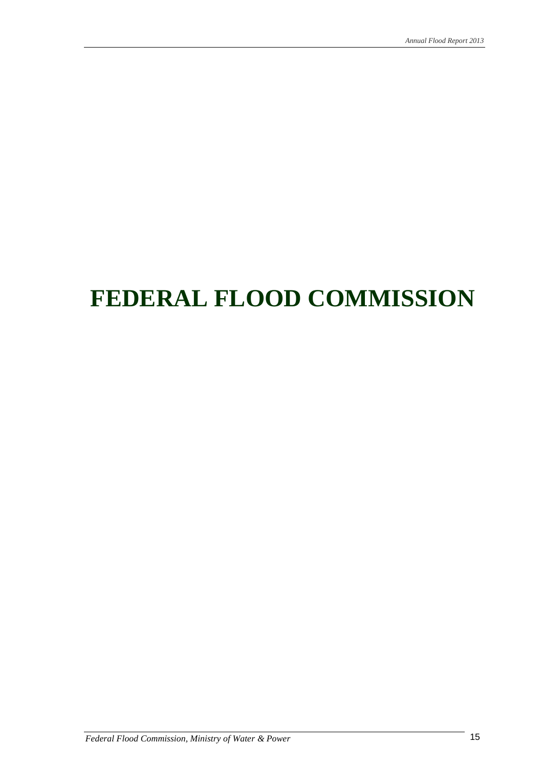# **FEDERAL FLOOD COMMISSION**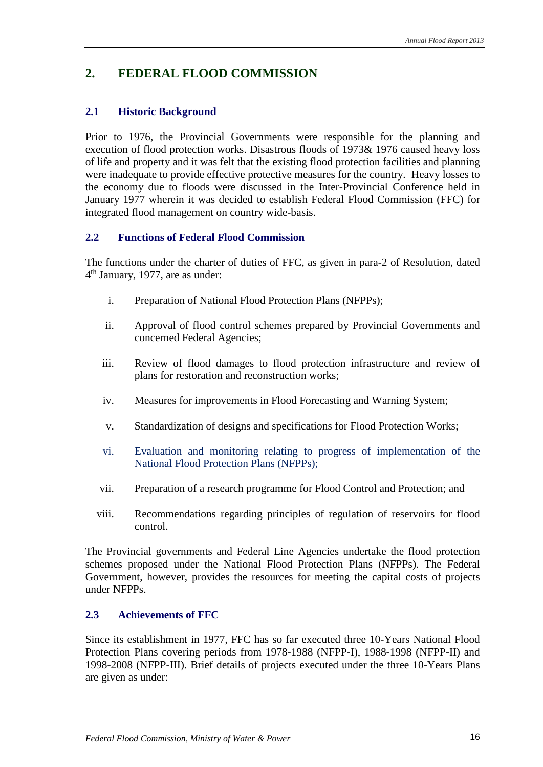### **2. FEDERAL FLOOD COMMISSION**

#### **2.1 Historic Background**

Prior to 1976, the Provincial Governments were responsible for the planning and execution of flood protection works. Disastrous floods of 1973& 1976 caused heavy loss of life and property and it was felt that the existing flood protection facilities and planning were inadequate to provide effective protective measures for the country. Heavy losses to the economy due to floods were discussed in the Inter-Provincial Conference held in January 1977 wherein it was decided to establish Federal Flood Commission (FFC) for integrated flood management on country wide-basis.

#### **2.2 Functions of Federal Flood Commission**

The functions under the charter of duties of FFC, as given in para-2 of Resolution, dated 4th January, 1977, are as under:

- i. Preparation of National Flood Protection Plans (NFPPs);
- ii. Approval of flood control schemes prepared by Provincial Governments and concerned Federal Agencies;
- iii. Review of flood damages to flood protection infrastructure and review of plans for restoration and reconstruction works;
- iv. Measures for improvements in Flood Forecasting and Warning System;
- v. Standardization of designs and specifications for Flood Protection Works;
- vi. Evaluation and monitoring relating to progress of implementation of the National Flood Protection Plans (NFPPs);
- vii. Preparation of a research programme for Flood Control and Protection; and
- viii. Recommendations regarding principles of regulation of reservoirs for flood control.

The Provincial governments and Federal Line Agencies undertake the flood protection schemes proposed under the National Flood Protection Plans (NFPPs). The Federal Government, however, provides the resources for meeting the capital costs of projects under NFPPs.

#### **2.3 Achievements of FFC**

Since its establishment in 1977, FFC has so far executed three 10-Years National Flood Protection Plans covering periods from 1978-1988 (NFPP-I), 1988-1998 (NFPP-II) and 1998-2008 (NFPP-III). Brief details of projects executed under the three 10-Years Plans are given as under: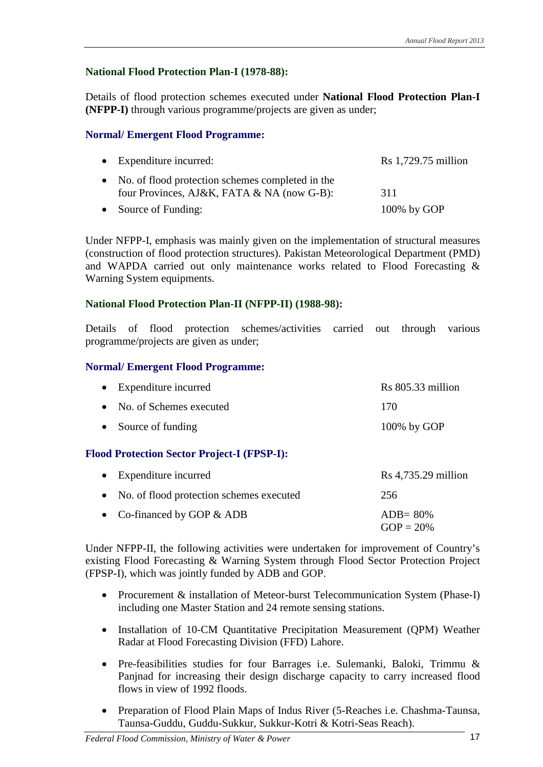#### **National Flood Protection Plan-I (1978-88):**

Details of flood protection schemes executed under **National Flood Protection Plan-I (NFPP-I)** through various programme/projects are given as under;

#### **Normal/ Emergent Flood Programme:**

| $\bullet$ Expenditure incurred:                                                                  | $Rs$ 1,729.75 million |
|--------------------------------------------------------------------------------------------------|-----------------------|
| • No. of flood protection schemes completed in the<br>four Provinces, AJ&K, FATA & NA (now G-B): | 311                   |
| • Source of Funding:                                                                             | $100\%$ by GOP        |

Under NFPP-I, emphasis was mainly given on the implementation of structural measures (construction of flood protection structures). Pakistan Meteorological Department (PMD) and WAPDA carried out only maintenance works related to Flood Forecasting & Warning System equipments.

#### **National Flood Protection Plan-II (NFPP-II) (1988-98):**

Details of flood protection schemes/activities carried out through various programme/projects are given as under;

#### **Normal/ Emergent Flood Programme:**

| $\bullet$ Expenditure incurred | $Rs 805.33$ million |
|--------------------------------|---------------------|
| • No. of Schemes executed      | 170                 |
| • Source of funding            | $100\%$ by GOP      |

#### **Flood Protection Sector Project-I (FPSP-I):**

| $\bullet$ Expenditure incurred             | $Rs$ 4,735.29 million       |
|--------------------------------------------|-----------------------------|
| • No. of flood protection schemes executed | 256                         |
| • Co-financed by GOP $&$ ADB               | $ADB = 80\%$<br>$GOP = 20%$ |

Under NFPP-II, the following activities were undertaken for improvement of Country's existing Flood Forecasting & Warning System through Flood Sector Protection Project (FPSP-I), which was jointly funded by ADB and GOP.

- Procurement & installation of Meteor-burst Telecommunication System (Phase-I) including one Master Station and 24 remote sensing stations.
- Installation of 10-CM Quantitative Precipitation Measurement (QPM) Weather Radar at Flood Forecasting Division (FFD) Lahore.
- Pre-feasibilities studies for four Barrages i.e. Sulemanki, Baloki, Trimmu & Panjnad for increasing their design discharge capacity to carry increased flood flows in view of 1992 floods.
- Preparation of Flood Plain Maps of Indus River (5-Reaches i.e. Chashma-Taunsa, Taunsa-Guddu, Guddu-Sukkur, Sukkur-Kotri & Kotri-Seas Reach).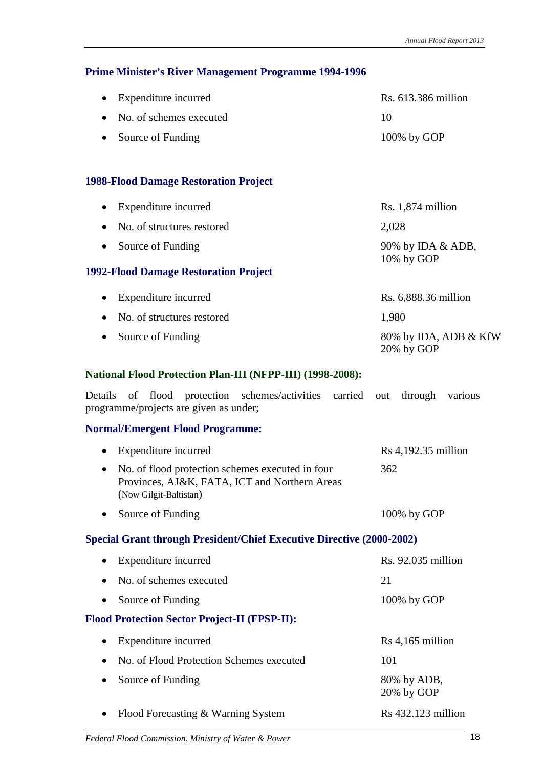#### **Prime Minister's River Management Programme 1994-1996**

| $\bullet$ Expenditure incurred    | $\text{Rs. } 613.386 \text{ million}$ |
|-----------------------------------|---------------------------------------|
| $\bullet$ No. of schemes executed | 10                                    |
| • Source of Funding               | $100\%$ by GOP                        |

#### **1988-Flood Damage Restoration Project**

| Expenditure incurred                         | $Rs. 1,874$ million                 |
|----------------------------------------------|-------------------------------------|
| No. of structures restored<br>$\bullet$      | 2,028                               |
| Source of Funding<br>$\bullet$               | 90% by IDA & ADB,<br>10% by GOP     |
| <b>1992-Flood Damage Restoration Project</b> |                                     |
| Expenditure incurred<br>$\bullet$            | Rs. 6,888.36 million                |
| No. of structures restored                   | 1,980                               |
| Source of Funding<br>$\bullet$               | 80% by IDA, ADB & KfW<br>20% by GOP |

#### **National Flood Protection Plan-III (NFPP-III) (1998-2008):**

Details of flood protection schemes/activities carried out through various programme/projects are given as under;

#### **Normal/Emergent Flood Programme:**

| Expenditure incurred                                                                                                                     | $Rs 4,192.35$ million     |
|------------------------------------------------------------------------------------------------------------------------------------------|---------------------------|
| No. of flood protection schemes executed in four<br>$\bullet$<br>Provinces, AJ&K, FATA, ICT and Northern Areas<br>(Now Gilgit-Baltistan) | 362                       |
| Source of Funding<br>$\bullet$                                                                                                           | 100% by GOP               |
| <b>Special Grant through President/Chief Executive Directive (2000-2002)</b>                                                             |                           |
| Expenditure incurred                                                                                                                     | Rs. 92.035 million        |
| No. of schemes executed                                                                                                                  | 21                        |
| Source of Funding<br>$\bullet$                                                                                                           | 100% by GOP               |
| <b>Flood Protection Sector Project-II (FPSP-II):</b>                                                                                     |                           |
| Expenditure incurred<br>٠                                                                                                                | $Rs 4,165$ million        |
| No. of Flood Protection Schemes executed<br>$\bullet$                                                                                    | 101                       |
| Source of Funding                                                                                                                        | 80% by ADB,<br>20% by GOP |
| Flood Forecasting & Warning System                                                                                                       | $Rs$ 432.123 million      |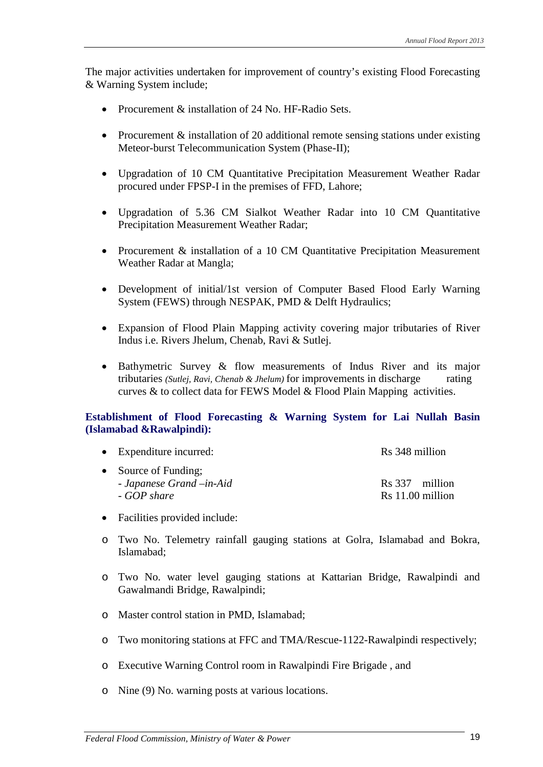The major activities undertaken for improvement of country's existing Flood Forecasting & Warning System include;

- Procurement & installation of 24 No. HF-Radio Sets.
- Procurement & installation of 20 additional remote sensing stations under existing Meteor-burst Telecommunication System (Phase-II);
- Upgradation of 10 CM Quantitative Precipitation Measurement Weather Radar procured under FPSP-I in the premises of FFD, Lahore;
- Upgradation of 5.36 CM Sialkot Weather Radar into 10 CM Quantitative Precipitation Measurement Weather Radar;
- Procurement & installation of a 10 CM Quantitative Precipitation Measurement Weather Radar at Mangla;
- Development of initial/1st version of Computer Based Flood Early Warning System (FEWS) through NESPAK, PMD & Delft Hydraulics;
- Expansion of Flood Plain Mapping activity covering major tributaries of River Indus i.e. Rivers Jhelum, Chenab, Ravi & Sutlej.
- Bathymetric Survey & flow measurements of Indus River and its major tributaries *(Sutlej, Ravi, Chenab & Jhelum)* for improvements in discharge rating curves & to collect data for FEWS Model & Flood Plain Mapping activities.

#### **Establishment of Flood Forecasting & Warning System for Lai Nullah Basin (Islamabad &Rawalpindi):**

| • Expenditure incurred:                                          | Rs 348 million                     |  |
|------------------------------------------------------------------|------------------------------------|--|
| • Source of Funding;<br>- Japanese Grand – in-Aid<br>- GOP share | Rs 337 million<br>Rs 11.00 million |  |

- Facilities provided include:
- o Two No. Telemetry rainfall gauging stations at Golra, Islamabad and Bokra, Islamabad;
- o Two No. water level gauging stations at Kattarian Bridge, Rawalpindi and Gawalmandi Bridge, Rawalpindi;
- o Master control station in PMD, Islamabad;
- o Two monitoring stations at FFC and TMA/Rescue-1122-Rawalpindi respectively;
- o Executive Warning Control room in Rawalpindi Fire Brigade , and
- o Nine (9) No. warning posts at various locations.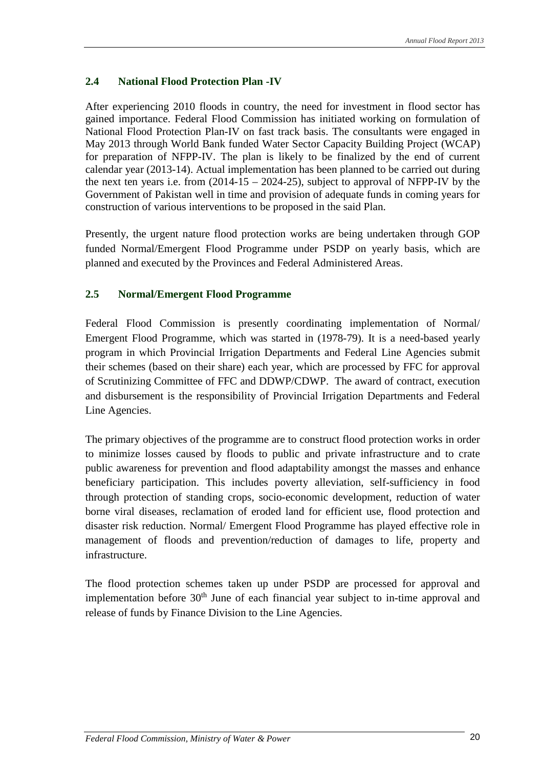#### **2.4 National Flood Protection Plan -IV**

After experiencing 2010 floods in country, the need for investment in flood sector has gained importance. Federal Flood Commission has initiated working on formulation of National Flood Protection Plan-IV on fast track basis. The consultants were engaged in May 2013 through World Bank funded Water Sector Capacity Building Project (WCAP) for preparation of NFPP-IV. The plan is likely to be finalized by the end of current calendar year (2013-14). Actual implementation has been planned to be carried out during the next ten years i.e. from  $(2014-15 - 2024-25)$ , subject to approval of NFPP-IV by the Government of Pakistan well in time and provision of adequate funds in coming years for construction of various interventions to be proposed in the said Plan.

Presently, the urgent nature flood protection works are being undertaken through GOP funded Normal/Emergent Flood Programme under PSDP on yearly basis, which are planned and executed by the Provinces and Federal Administered Areas.

#### **2.5 Normal/Emergent Flood Programme**

Federal Flood Commission is presently coordinating implementation of Normal/ Emergent Flood Programme, which was started in (1978-79). It is a need-based yearly program in which Provincial Irrigation Departments and Federal Line Agencies submit their schemes (based on their share) each year, which are processed by FFC for approval of Scrutinizing Committee of FFC and DDWP/CDWP. The award of contract, execution and disbursement is the responsibility of Provincial Irrigation Departments and Federal Line Agencies.

The primary objectives of the programme are to construct flood protection works in order to minimize losses caused by floods to public and private infrastructure and to crate public awareness for prevention and flood adaptability amongst the masses and enhance beneficiary participation. This includes poverty alleviation, self-sufficiency in food through protection of standing crops, socio-economic development, reduction of water borne viral diseases, reclamation of eroded land for efficient use, flood protection and disaster risk reduction. Normal/ Emergent Flood Programme has played effective role in management of floods and prevention/reduction of damages to life, property and infrastructure.

The flood protection schemes taken up under PSDP are processed for approval and implementation before 30<sup>th</sup> June of each financial year subject to in-time approval and release of funds by Finance Division to the Line Agencies.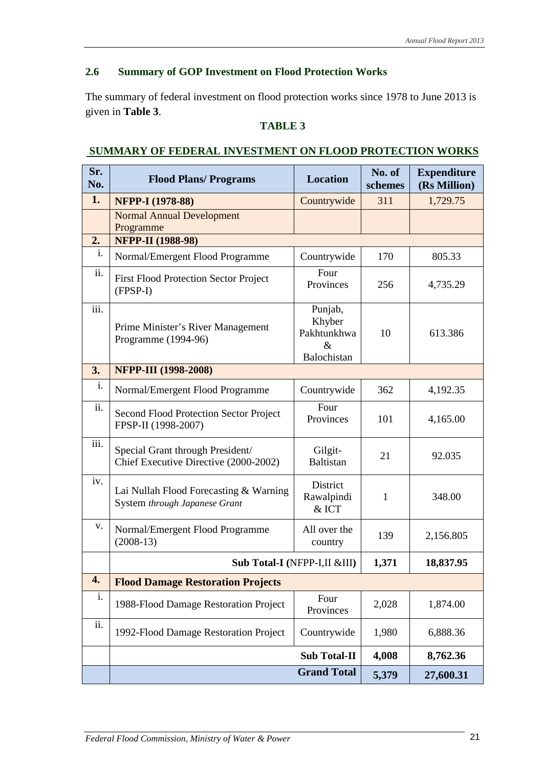#### **2.6 Summary of GOP Investment on Flood Protection Works**

The summary of federal investment on flood protection works since 1978 to June 2013 is given in **Table 3**.

#### **TABLE 3**

#### **Sr. Sr. Flood Plans/ Programs Location No. of No. of No.** of **schemes Expenditure (Rs Million) 1. NFPP-I (1978-88)** Countrywide 311 1,729.75 Normal Annual Development Programme **2. NFPP-II (1988-98)** i. Normal/Emergent Flood Programme  $\vert$  Countrywide 170 805.33 ii. First Flood Protection Sector Project (FPSP-I) Four Provinces 256 4.735.29 iii. Prime Minister's River Management Programme (1994-96) Punjab, Khyber Pakhtunkhwa  $\mathcal{R}$ Balochistan 10 613.386 **3. NFPP-III (1998-2008)** i. Normal/Emergent Flood Programme  $\vert$  Countrywide  $\vert$  362  $\vert$  4,192.35 ii. Second Flood Protection Sector Project FPSP-II (1998-2007) Four Provinces 101 4,165,00 iii. Special Grant through President/ Chief Executive Directive (2000-2002) Gilgit-Baltistan 21 92.035 iv. Lai Nullah Flood Forecasting & Warning System *through Japanese Grant* **District** Rawalpindi & ICT 1 348.00 v. Normal/Emergent Flood Programme (2008-13) All over the country 139 2,156.805 **Sub Total-I (**NFPP-I,II &III**) 1,371 18,837.95 4. Flood Damage Restoration Projects** i. 1988-Flood Damage Restoration Project  $\Big|$  Four Provinces 2,028 1,874.00 ii. 1992-Flood Damage Restoration Project | Countrywide | 1,980 | 6,888.36 **Sub Total-II 4,008 8,762.36 Grand Total 5,379 27,600.31**

#### **SUMMARY OF FEDERAL INVESTMENT ON FLOOD PROTECTION WORKS**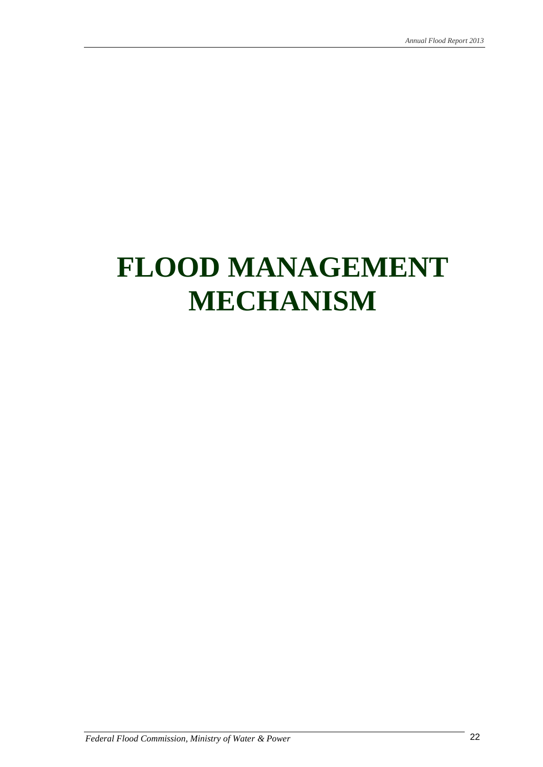# **FLOOD MANAGEMENT MECHANISM**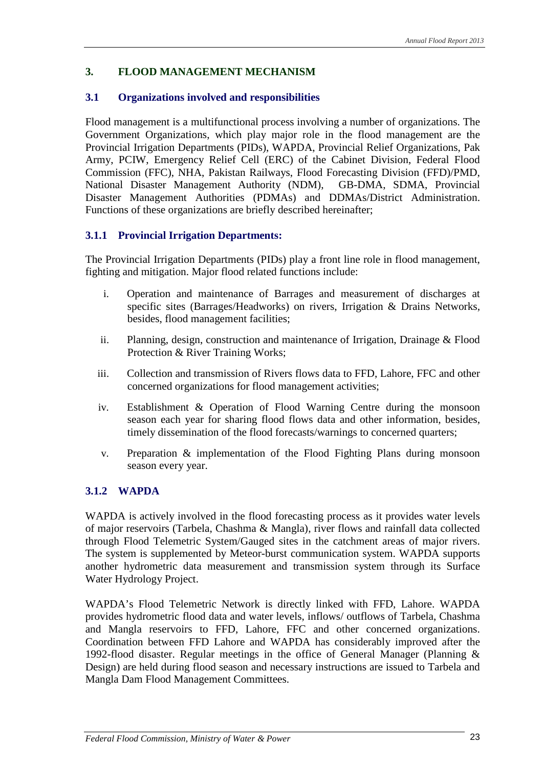#### **3. FLOOD MANAGEMENT MECHANISM**

#### **3.1 Organizations involved and responsibilities**

Flood management is a multifunctional process involving a number of organizations. The Government Organizations, which play major role in the flood management are the Provincial Irrigation Departments (PIDs), WAPDA, Provincial Relief Organizations, Pak Army, PCIW, Emergency Relief Cell (ERC) of the Cabinet Division, Federal Flood Commission (FFC), NHA, Pakistan Railways, Flood Forecasting Division (FFD)/PMD, National Disaster Management Authority (NDM), GB-DMA, SDMA, Provincial Disaster Management Authorities (PDMAs) and DDMAs/District Administration. Functions of these organizations are briefly described hereinafter;

#### **3.1.1 Provincial Irrigation Departments:**

The Provincial Irrigation Departments (PIDs) play a front line role in flood management, fighting and mitigation. Major flood related functions include:

- i. Operation and maintenance of Barrages and measurement of discharges at specific sites (Barrages/Headworks) on rivers, Irrigation & Drains Networks, besides, flood management facilities;
- ii. Planning, design, construction and maintenance of Irrigation, Drainage & Flood Protection & River Training Works;
- iii. Collection and transmission of Rivers flows data to FFD, Lahore, FFC and other concerned organizations for flood management activities;
- iv. Establishment & Operation of Flood Warning Centre during the monsoon season each year for sharing flood flows data and other information, besides, timely dissemination of the flood forecasts/warnings to concerned quarters;
- v. Preparation & implementation of the Flood Fighting Plans during monsoon season every year.

#### **3.1.2 WAPDA**

WAPDA is actively involved in the flood forecasting process as it provides water levels of major reservoirs (Tarbela, Chashma & Mangla), river flows and rainfall data collected through Flood Telemetric System/Gauged sites in the catchment areas of major rivers. The system is supplemented by Meteor-burst communication system. WAPDA supports another hydrometric data measurement and transmission system through its Surface Water Hydrology Project.

WAPDA's Flood Telemetric Network is directly linked with FFD, Lahore. WAPDA provides hydrometric flood data and water levels, inflows/ outflows of Tarbela, Chashma and Mangla reservoirs to FFD, Lahore, FFC and other concerned organizations. Coordination between FFD Lahore and WAPDA has considerably improved after the 1992-flood disaster. Regular meetings in the office of General Manager (Planning & Design) are held during flood season and necessary instructions are issued to Tarbela and Mangla Dam Flood Management Committees.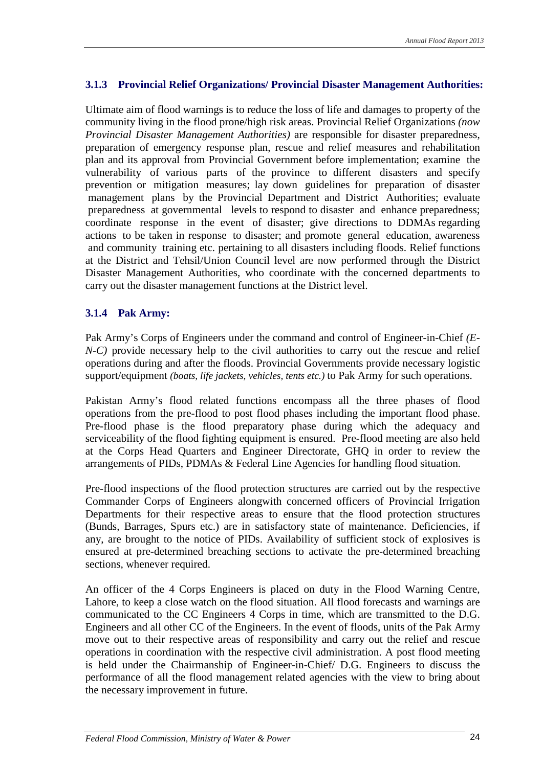#### **3.1.3 Provincial Relief Organizations/ Provincial Disaster Management Authorities:**

Ultimate aim of flood warnings is to reduce the loss of life and damages to property of the community living in the flood prone/high risk areas. Provincial Relief Organizations *(now Provincial Disaster Management Authorities)* are responsible for disaster preparedness, preparation of emergency response plan, rescue and relief measures and rehabilitation plan and its approval from Provincial Government before implementation; examine the vulnerability of various parts of the province to different disasters and specify prevention or mitigation measures; lay down guidelines for preparation of disaster management plans by the Provincial Department and District Authorities; evaluate preparedness at governmental levels to respond to disaster and enhance preparedness; coordinate response in the event of disaster; give directions to DDMAs regarding actions to be taken in response to disaster; and promote general education, awareness and community training etc. pertaining to all disasters including floods. Relief functions at the District and Tehsil/Union Council level are now performed through the District Disaster Management Authorities, who coordinate with the concerned departments to carry out the disaster management functions at the District level.

#### **3.1.4 Pak Army:**

Pak Army's Corps of Engineers under the command and control of Engineer-in-Chief *(E-N-C*) provide necessary help to the civil authorities to carry out the rescue and relief operations during and after the floods. Provincial Governments provide necessary logistic support/equipment *(boats, life jackets, vehicles, tents etc.)* to Pak Army for such operations.

Pakistan Army's flood related functions encompass all the three phases of flood operations from the pre-flood to post flood phases including the important flood phase. Pre-flood phase is the flood preparatory phase during which the adequacy and serviceability of the flood fighting equipment is ensured. Pre-flood meeting are also held at the Corps Head Quarters and Engineer Directorate, GHQ in order to review the arrangements of PIDs, PDMAs & Federal Line Agencies for handling flood situation.

Pre-flood inspections of the flood protection structures are carried out by the respective Commander Corps of Engineers alongwith concerned officers of Provincial Irrigation Departments for their respective areas to ensure that the flood protection structures (Bunds, Barrages, Spurs etc.) are in satisfactory state of maintenance. Deficiencies, if any, are brought to the notice of PIDs. Availability of sufficient stock of explosives is ensured at pre-determined breaching sections to activate the pre-determined breaching sections, whenever required.

An officer of the 4 Corps Engineers is placed on duty in the Flood Warning Centre, Lahore, to keep a close watch on the flood situation. All flood forecasts and warnings are communicated to the CC Engineers 4 Corps in time, which are transmitted to the D.G. Engineers and all other CC of the Engineers. In the event of floods, units of the Pak Army move out to their respective areas of responsibility and carry out the relief and rescue operations in coordination with the respective civil administration. A post flood meeting is held under the Chairmanship of Engineer-in-Chief/ D.G. Engineers to discuss the performance of all the flood management related agencies with the view to bring about the necessary improvement in future.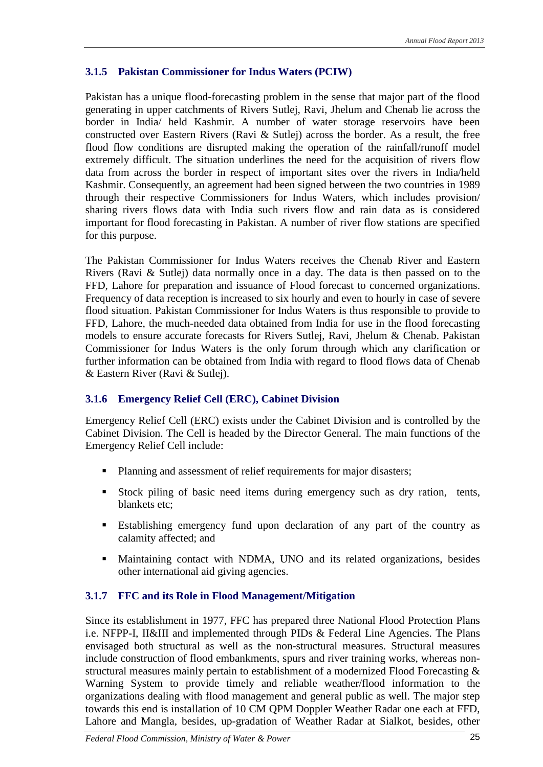#### **3.1.5 Pakistan Commissioner for Indus Waters (PCIW)**

Pakistan has a unique flood-forecasting problem in the sense that major part of the flood generating in upper catchments of Rivers Sutlej, Ravi, Jhelum and Chenab lie across the border in India/ held Kashmir. A number of water storage reservoirs have been constructed over Eastern Rivers (Ravi & Sutlej) across the border. As a result, the free flood flow conditions are disrupted making the operation of the rainfall/runoff model extremely difficult. The situation underlines the need for the acquisition of rivers flow data from across the border in respect of important sites over the rivers in India/held Kashmir. Consequently, an agreement had been signed between the two countries in 1989 through their respective Commissioners for Indus Waters, which includes provision/ sharing rivers flows data with India such rivers flow and rain data as is considered important for flood forecasting in Pakistan. A number of river flow stations are specified for this purpose.

The Pakistan Commissioner for Indus Waters receives the Chenab River and Eastern Rivers (Ravi & Sutlej) data normally once in a day. The data is then passed on to the FFD, Lahore for preparation and issuance of Flood forecast to concerned organizations. Frequency of data reception is increased to six hourly and even to hourly in case of severe flood situation. Pakistan Commissioner for Indus Waters is thus responsible to provide to FFD, Lahore, the much-needed data obtained from India for use in the flood forecasting models to ensure accurate forecasts for Rivers Sutlej, Ravi, Jhelum & Chenab. Pakistan Commissioner for Indus Waters is the only forum through which any clarification or further information can be obtained from India with regard to flood flows data of Chenab & Eastern River (Ravi & Sutlej).

#### **3.1.6 Emergency Relief Cell (ERC), Cabinet Division**

Emergency Relief Cell (ERC) exists under the Cabinet Division and is controlled by the Cabinet Division. The Cell is headed by the Director General. The main functions of the Emergency Relief Cell include:

- **Planning and assessment of relief requirements for major disasters;**
- Stock piling of basic need items during emergency such as dry ration, tents, blankets etc;
- Establishing emergency fund upon declaration of any part of the country as calamity affected; and
- Maintaining contact with NDMA, UNO and its related organizations, besides other international aid giving agencies.

#### **3.1.7 FFC and its Role in Flood Management/Mitigation**

Since its establishment in 1977, FFC has prepared three National Flood Protection Plans i.e. NFPP-I, II&III and implemented through PIDs & Federal Line Agencies. The Plans envisaged both structural as well as the non-structural measures. Structural measures include construction of flood embankments, spurs and river training works, whereas nonstructural measures mainly pertain to establishment of a modernized Flood Forecasting & Warning System to provide timely and reliable weather/flood information to the organizations dealing with flood management and general public as well. The major step towards this end is installation of 10 CM QPM Doppler Weather Radar one each at FFD, Lahore and Mangla, besides, up-gradation of Weather Radar at Sialkot, besides, other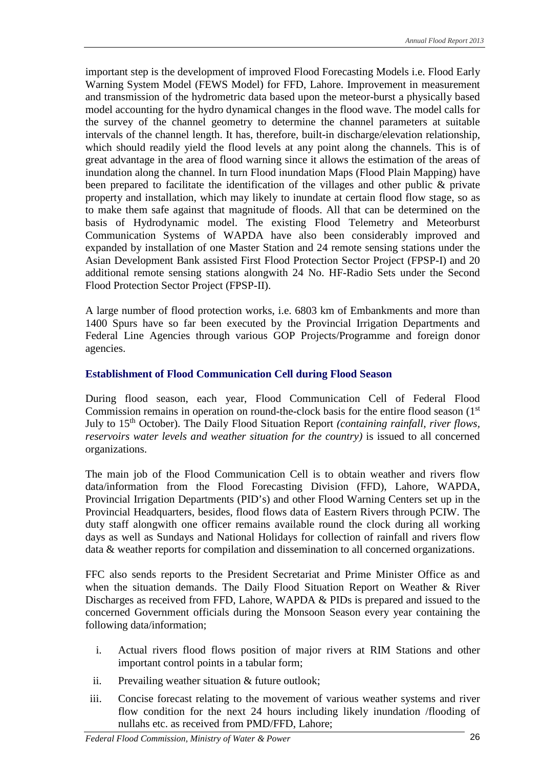important step is the development of improved Flood Forecasting Models i.e. Flood Early Warning System Model (FEWS Model) for FFD, Lahore. Improvement in measurement and transmission of the hydrometric data based upon the meteor-burst a physically based model accounting for the hydro dynamical changes in the flood wave. The model calls for the survey of the channel geometry to determine the channel parameters at suitable intervals of the channel length. It has, therefore, built-in discharge/elevation relationship, which should readily yield the flood levels at any point along the channels. This is of great advantage in the area of flood warning since it allows the estimation of the areas of inundation along the channel. In turn Flood inundation Maps (Flood Plain Mapping) have been prepared to facilitate the identification of the villages and other public & private property and installation, which may likely to inundate at certain flood flow stage, so as to make them safe against that magnitude of floods. All that can be determined on the basis of Hydrodynamic model. The existing Flood Telemetry and Meteorburst Communication Systems of WAPDA have also been considerably improved and expanded by installation of one Master Station and 24 remote sensing stations under the Asian Development Bank assisted First Flood Protection Sector Project (FPSP-I) and 20 additional remote sensing stations alongwith 24 No. HF-Radio Sets under the Second Flood Protection Sector Project (FPSP-II).

A large number of flood protection works, i.e. 6803 km of Embankments and more than 1400 Spurs have so far been executed by the Provincial Irrigation Departments and Federal Line Agencies through various GOP Projects/Programme and foreign donor agencies.

#### **Establishment of Flood Communication Cell during Flood Season**

During flood season, each year, Flood Communication Cell of Federal Flood Commission remains in operation on round-the-clock basis for the entire flood season  $(1<sup>st</sup>)$ July to 15<sup>th</sup> October). The Daily Flood Situation Report *(containing rainfall, river flows, reservoirs water levels and weather situation for the country)* is issued to all concerned organizations.

The main job of the Flood Communication Cell is to obtain weather and rivers flow data/information from the Flood Forecasting Division (FFD), Lahore, WAPDA, Provincial Irrigation Departments (PID's) and other Flood Warning Centers set up in the Provincial Headquarters, besides, flood flows data of Eastern Rivers through PCIW. The duty staff alongwith one officer remains available round the clock during all working days as well as Sundays and National Holidays for collection of rainfall and rivers flow data & weather reports for compilation and dissemination to all concerned organizations.

FFC also sends reports to the President Secretariat and Prime Minister Office as and when the situation demands. The Daily Flood Situation Report on Weather & River Discharges as received from FFD, Lahore, WAPDA & PIDs is prepared and issued to the concerned Government officials during the Monsoon Season every year containing the following data/information;

- i. Actual rivers flood flows position of major rivers at RIM Stations and other important control points in a tabular form;
- ii. Prevailing weather situation & future outlook;
- iii. Concise forecast relating to the movement of various weather systems and river flow condition for the next 24 hours including likely inundation /flooding of nullahs etc. as received from PMD/FFD, Lahore;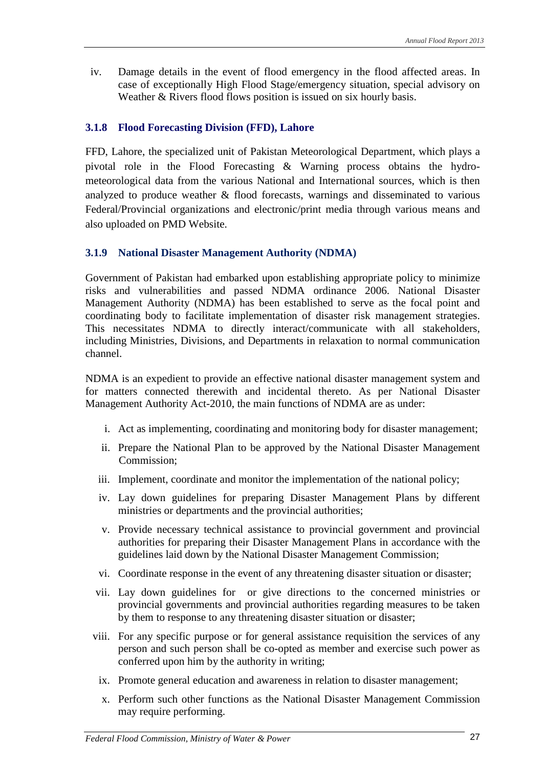iv. Damage details in the event of flood emergency in the flood affected areas. In case of exceptionally High Flood Stage/emergency situation, special advisory on Weather & Rivers flood flows position is issued on six hourly basis.

#### **3.1.8 Flood Forecasting Division (FFD), Lahore**

FFD, Lahore, the specialized unit of Pakistan Meteorological Department, which plays a pivotal role in the Flood Forecasting & Warning process obtains the hydrometeorological data from the various National and International sources, which is then analyzed to produce weather & flood forecasts, warnings and disseminated to various Federal/Provincial organizations and electronic/print media through various means and also uploaded on PMD Website.

#### **3.1.9 National Disaster Management Authority (NDMA)**

Government of Pakistan had embarked upon establishing appropriate policy to minimize risks and vulnerabilities and passed NDMA ordinance 2006. National Disaster Management Authority (NDMA) has been established to serve as the focal point and coordinating body to facilitate implementation of disaster risk management strategies. This necessitates NDMA to directly interact/communicate with all stakeholders, including Ministries, Divisions, and Departments in relaxation to normal communication channel.

NDMA is an expedient to provide an effective national disaster management system and for matters connected therewith and incidental thereto. As per National Disaster Management Authority Act-2010, the main functions of NDMA are as under:

- i. Act as implementing, coordinating and monitoring body for disaster management;
- ii. Prepare the National Plan to be approved by the National Disaster Management Commission;
- iii. Implement, coordinate and monitor the implementation of the national policy;
- iv. Lay down guidelines for preparing Disaster Management Plans by different ministries or departments and the provincial authorities;
- v. Provide necessary technical assistance to provincial government and provincial authorities for preparing their Disaster Management Plans in accordance with the guidelines laid down by the National Disaster Management Commission;
- vi. Coordinate response in the event of any threatening disaster situation or disaster;
- vii. Lay down guidelines for or give directions to the concerned ministries or provincial governments and provincial authorities regarding measures to be taken by them to response to any threatening disaster situation or disaster;
- viii. For any specific purpose or for general assistance requisition the services of any person and such person shall be co-opted as member and exercise such power as conferred upon him by the authority in writing;
	- ix. Promote general education and awareness in relation to disaster management;
	- x. Perform such other functions as the National Disaster Management Commission may require performing.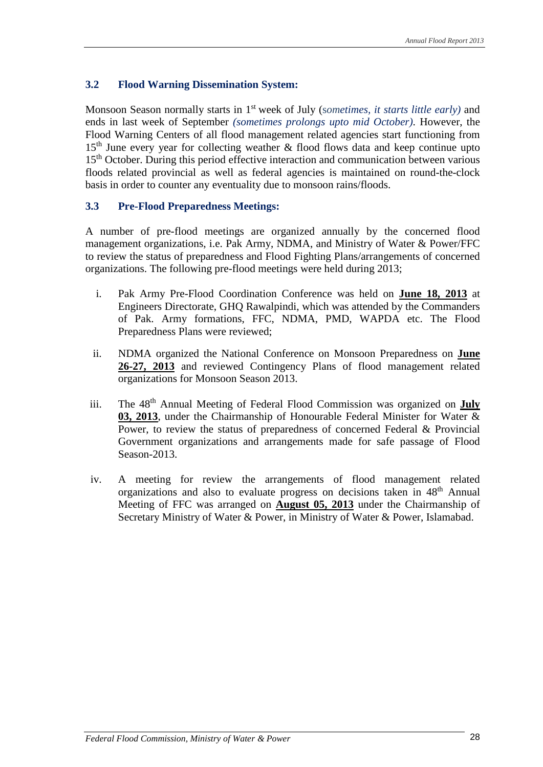#### **3.2 Flood Warning Dissemination System:**

Monsoon Season normally starts in 1st week of July (s*ometimes, it starts little early)* and ends in last week of September *(sometimes prolongs upto mid October)*. However, the Flood Warning Centers of all flood management related agencies start functioning from 15<sup>th</sup> June every year for collecting weather & flood flows data and keep continue upto 15<sup>th</sup> October. During this period effective interaction and communication between various floods related provincial as well as federal agencies is maintained on round-the-clock basis in order to counter any eventuality due to monsoon rains/floods.

#### **3.3 Pre-Flood Preparedness Meetings:**

A number of pre-flood meetings are organized annually by the concerned flood management organizations, i.e. Pak Army, NDMA, and Ministry of Water & Power/FFC to review the status of preparedness and Flood Fighting Plans/arrangements of concerned organizations. The following pre-flood meetings were held during 2013;

- i. Pak Army Pre-Flood Coordination Conference was held on **June 18, 2013** at Engineers Directorate, GHQ Rawalpindi, which was attended by the Commanders of Pak. Army formations, FFC, NDMA, PMD, WAPDA etc. The Flood Preparedness Plans were reviewed;
- ii. NDMA organized the National Conference on Monsoon Preparedness on **June 26-27, 2013** and reviewed Contingency Plans of flood management related organizations for Monsoon Season 2013.
- iii. The 48th Annual Meeting of Federal Flood Commission was organized on **July 03, 2013**, under the Chairmanship of Honourable Federal Minister for Water & Power, to review the status of preparedness of concerned Federal & Provincial Government organizations and arrangements made for safe passage of Flood Season-2013.
- iv. A meeting for review the arrangements of flood management related organizations and also to evaluate progress on decisions taken in 48<sup>th</sup> Annual Meeting of FFC was arranged on **August 05, 2013** under the Chairmanship of Secretary Ministry of Water & Power, in Ministry of Water & Power, Islamabad.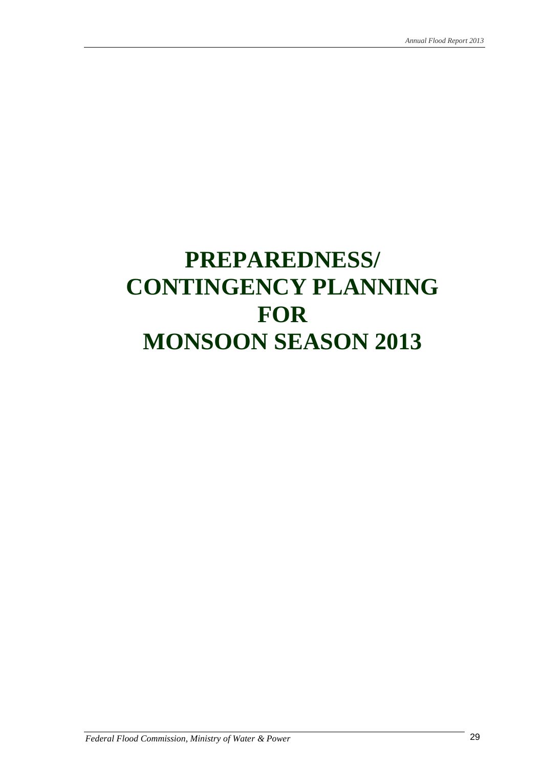# **PREPAREDNESS/ CONTINGENCY PLANNING FOR MONSOON SEASON 2013**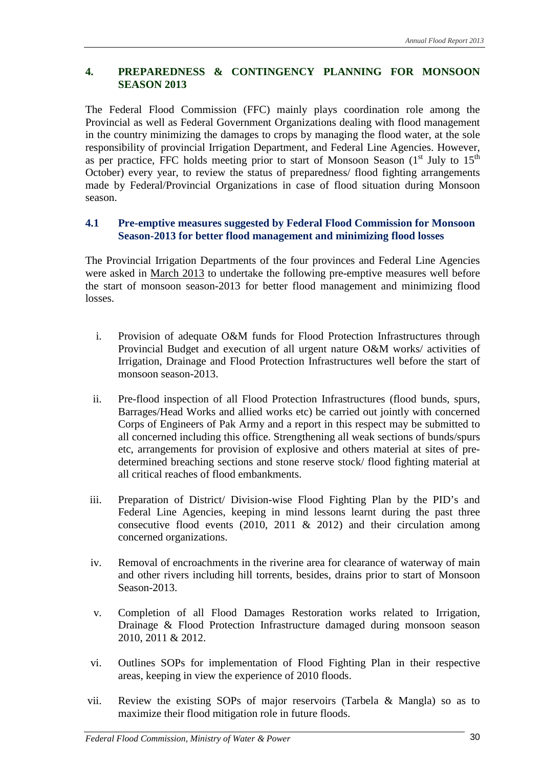#### **4. PREPAREDNESS & CONTINGENCY PLANNING FOR MONSOON SEASON 2013**

The Federal Flood Commission (FFC) mainly plays coordination role among the Provincial as well as Federal Government Organizations dealing with flood management in the country minimizing the damages to crops by managing the flood water, at the sole responsibility of provincial Irrigation Department, and Federal Line Agencies. However, as per practice, FFC holds meeting prior to start of Monsoon Season  $(1<sup>st</sup>$  July to  $15<sup>th</sup>$ October) every year, to review the status of preparedness/ flood fighting arrangements made by Federal/Provincial Organizations in case of flood situation during Monsoon season.

#### **4.1 Pre-emptive measures suggested by Federal Flood Commission for Monsoon Season-2013 for better flood management and minimizing flood losses**

The Provincial Irrigation Departments of the four provinces and Federal Line Agencies were asked in March 2013 to undertake the following pre-emptive measures well before the start of monsoon season-2013 for better flood management and minimizing flood losses.

- i. Provision of adequate O&M funds for Flood Protection Infrastructures through Provincial Budget and execution of all urgent nature O&M works/ activities of Irrigation, Drainage and Flood Protection Infrastructures well before the start of monsoon season-2013.
- ii. Pre-flood inspection of all Flood Protection Infrastructures (flood bunds, spurs, Barrages/Head Works and allied works etc) be carried out jointly with concerned Corps of Engineers of Pak Army and a report in this respect may be submitted to all concerned including this office. Strengthening all weak sections of bunds/spurs etc, arrangements for provision of explosive and others material at sites of predetermined breaching sections and stone reserve stock/ flood fighting material at all critical reaches of flood embankments.
- iii. Preparation of District/ Division-wise Flood Fighting Plan by the PID's and Federal Line Agencies, keeping in mind lessons learnt during the past three consecutive flood events (2010, 2011 & 2012) and their circulation among concerned organizations.
- iv. Removal of encroachments in the riverine area for clearance of waterway of main and other rivers including hill torrents, besides, drains prior to start of Monsoon Season-2013.
- v. Completion of all Flood Damages Restoration works related to Irrigation, Drainage & Flood Protection Infrastructure damaged during monsoon season 2010, 2011 & 2012.
- vi. Outlines SOPs for implementation of Flood Fighting Plan in their respective areas, keeping in view the experience of 2010 floods.
- vii. Review the existing SOPs of major reservoirs (Tarbela & Mangla) so as to maximize their flood mitigation role in future floods.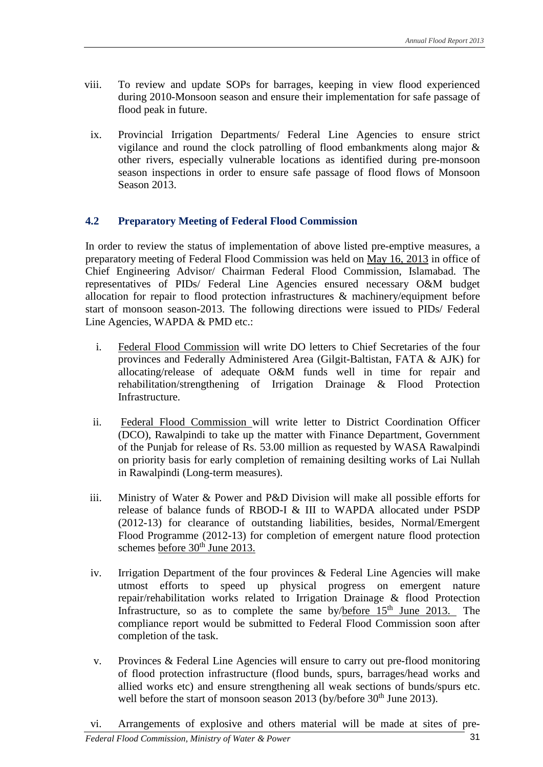- viii. To review and update SOPs for barrages, keeping in view flood experienced during 2010-Monsoon season and ensure their implementation for safe passage of flood peak in future.
- ix. Provincial Irrigation Departments/ Federal Line Agencies to ensure strict vigilance and round the clock patrolling of flood embankments along major & other rivers, especially vulnerable locations as identified during pre-monsoon season inspections in order to ensure safe passage of flood flows of Monsoon Season 2013.

#### **4.2 Preparatory Meeting of Federal Flood Commission**

In order to review the status of implementation of above listed pre-emptive measures, a preparatory meeting of Federal Flood Commission was held on May 16, 2013 in office of Chief Engineering Advisor/ Chairman Federal Flood Commission, Islamabad. The representatives of PIDs/ Federal Line Agencies ensured necessary O&M budget allocation for repair to flood protection infrastructures & machinery/equipment before start of monsoon season-2013. The following directions were issued to PIDs/ Federal Line Agencies, WAPDA & PMD etc.:

- i. Federal Flood Commission will write DO letters to Chief Secretaries of the four provinces and Federally Administered Area (Gilgit-Baltistan, FATA & AJK) for allocating/release of adequate O&M funds well in time for repair and rehabilitation/strengthening of Irrigation Drainage & Flood Protection Infrastructure.
- ii. Federal Flood Commission will write letter to District Coordination Officer (DCO), Rawalpindi to take up the matter with Finance Department, Government of the Punjab for release of Rs. 53.00 million as requested by WASA Rawalpindi on priority basis for early completion of remaining desilting works of Lai Nullah in Rawalpindi (Long-term measures).
- iii. Ministry of Water & Power and P&D Division will make all possible efforts for release of balance funds of RBOD-I & III to WAPDA allocated under PSDP (2012-13) for clearance of outstanding liabilities, besides, Normal/Emergent Flood Programme (2012-13) for completion of emergent nature flood protection schemes before  $30<sup>th</sup>$  June 2013.
- iv. Irrigation Department of the four provinces  $\&$  Federal Line Agencies will make utmost efforts to speed up physical progress on emergent nature repair/rehabilitation works related to Irrigation Drainage & flood Protection Infrastructure, so as to complete the same by/before  $15<sup>th</sup>$  June 2013. compliance report would be submitted to Federal Flood Commission soon after completion of the task.
- v. Provinces & Federal Line Agencies will ensure to carry out pre-flood monitoring of flood protection infrastructure (flood bunds, spurs, barrages/head works and allied works etc) and ensure strengthening all weak sections of bunds/spurs etc. well before the start of monsoon season 2013 (by/before 30<sup>th</sup> June 2013).
- vi. Arrangements of explosive and others material will be made at sites of pre-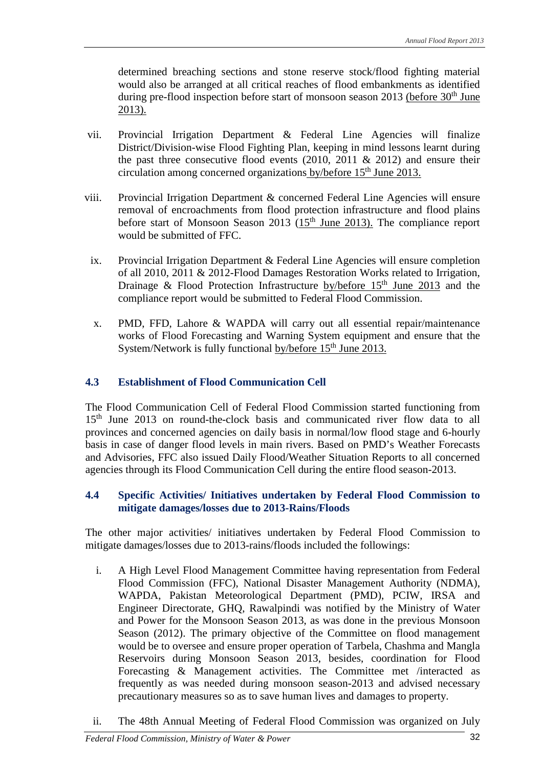determined breaching sections and stone reserve stock/flood fighting material would also be arranged at all critical reaches of flood embankments as identified during pre-flood inspection before start of monsoon season 2013 (before  $30<sup>th</sup>$  June 2013).

- vii. Provincial Irrigation Department & Federal Line Agencies will finalize District/Division-wise Flood Fighting Plan, keeping in mind lessons learnt during the past three consecutive flood events  $(2010, 2011 \& 2012)$  and ensure their circulation among concerned organizations by/before 15<sup>th</sup> June 2013.
- viii. Provincial Irrigation Department & concerned Federal Line Agencies will ensure removal of encroachments from flood protection infrastructure and flood plains before start of Monsoon Season 2013 (15<sup>th</sup> June 2013). The compliance report would be submitted of FFC.
	- ix. Provincial Irrigation Department & Federal Line Agencies will ensure completion of all 2010, 2011 & 2012-Flood Damages Restoration Works related to Irrigation, Drainage & Flood Protection Infrastructure by/before  $15<sup>th</sup>$  June 2013 and the compliance report would be submitted to Federal Flood Commission.
	- x. PMD, FFD, Lahore & WAPDA will carry out all essential repair/maintenance works of Flood Forecasting and Warning System equipment and ensure that the System/Network is fully functional by/before 15<sup>th</sup> June 2013.

#### **4.3 Establishment of Flood Communication Cell**

The Flood Communication Cell of Federal Flood Commission started functioning from 15<sup>th</sup> June 2013 on round-the-clock basis and communicated river flow data to all provinces and concerned agencies on daily basis in normal/low flood stage and 6-hourly basis in case of danger flood levels in main rivers. Based on PMD's Weather Forecasts and Advisories, FFC also issued Daily Flood/Weather Situation Reports to all concerned agencies through its Flood Communication Cell during the entire flood season-2013.

#### **4.4 Specific Activities/ Initiatives undertaken by Federal Flood Commission to mitigate damages/losses due to 2013-Rains/Floods**

The other major activities/ initiatives undertaken by Federal Flood Commission to mitigate damages/losses due to 2013-rains/floods included the followings:

- i. A High Level Flood Management Committee having representation from Federal Flood Commission (FFC), National Disaster Management Authority (NDMA), WAPDA, Pakistan Meteorological Department (PMD), PCIW, IRSA and Engineer Directorate, GHQ, Rawalpindi was notified by the Ministry of Water and Power for the Monsoon Season 2013, as was done in the previous Monsoon Season (2012). The primary objective of the Committee on flood management would be to oversee and ensure proper operation of Tarbela, Chashma and Mangla Reservoirs during Monsoon Season 2013, besides, coordination for Flood Forecasting & Management activities. The Committee met /interacted as frequently as was needed during monsoon season-2013 and advised necessary precautionary measures so as to save human lives and damages to property.
- ii. The 48th Annual Meeting of Federal Flood Commission was organized on July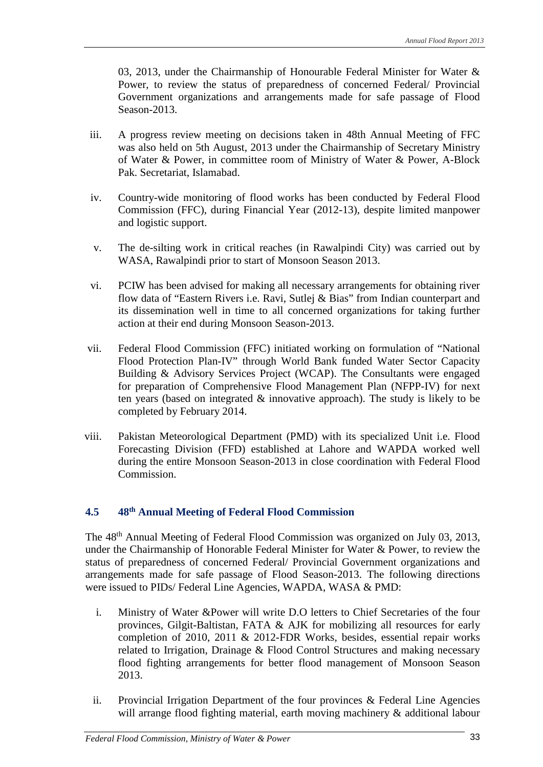03, 2013, under the Chairmanship of Honourable Federal Minister for Water & Power, to review the status of preparedness of concerned Federal/ Provincial Government organizations and arrangements made for safe passage of Flood Season-2013.

- iii. A progress review meeting on decisions taken in 48th Annual Meeting of FFC was also held on 5th August, 2013 under the Chairmanship of Secretary Ministry of Water & Power, in committee room of Ministry of Water & Power, A-Block Pak. Secretariat, Islamabad.
- iv. Country-wide monitoring of flood works has been conducted by Federal Flood Commission (FFC), during Financial Year (2012-13), despite limited manpower and logistic support.
- v. The de-silting work in critical reaches (in Rawalpindi City) was carried out by WASA, Rawalpindi prior to start of Monsoon Season 2013.
- vi. PCIW has been advised for making all necessary arrangements for obtaining river flow data of "Eastern Rivers i.e. Ravi, Sutlej & Bias" from Indian counterpart and its dissemination well in time to all concerned organizations for taking further action at their end during Monsoon Season-2013.
- vii. Federal Flood Commission (FFC) initiated working on formulation of "National Flood Protection Plan-IV" through World Bank funded Water Sector Capacity Building & Advisory Services Project (WCAP). The Consultants were engaged for preparation of Comprehensive Flood Management Plan (NFPP-IV) for next ten years (based on integrated & innovative approach). The study is likely to be completed by February 2014.
- viii. Pakistan Meteorological Department (PMD) with its specialized Unit i.e. Flood Forecasting Division (FFD) established at Lahore and WAPDA worked well during the entire Monsoon Season-2013 in close coordination with Federal Flood Commission.

#### **4.5 48th Annual Meeting of Federal Flood Commission**

The 48th Annual Meeting of Federal Flood Commission was organized on July 03, 2013, under the Chairmanship of Honorable Federal Minister for Water & Power, to review the status of preparedness of concerned Federal/ Provincial Government organizations and arrangements made for safe passage of Flood Season-2013. The following directions were issued to PIDs/ Federal Line Agencies, WAPDA, WASA & PMD:

- i. Ministry of Water &Power will write D.O letters to Chief Secretaries of the four provinces, Gilgit-Baltistan, FATA & AJK for mobilizing all resources for early completion of 2010, 2011 & 2012-FDR Works, besides, essential repair works related to Irrigation, Drainage & Flood Control Structures and making necessary flood fighting arrangements for better flood management of Monsoon Season 2013.
- ii. Provincial Irrigation Department of the four provinces & Federal Line Agencies will arrange flood fighting material, earth moving machinery & additional labour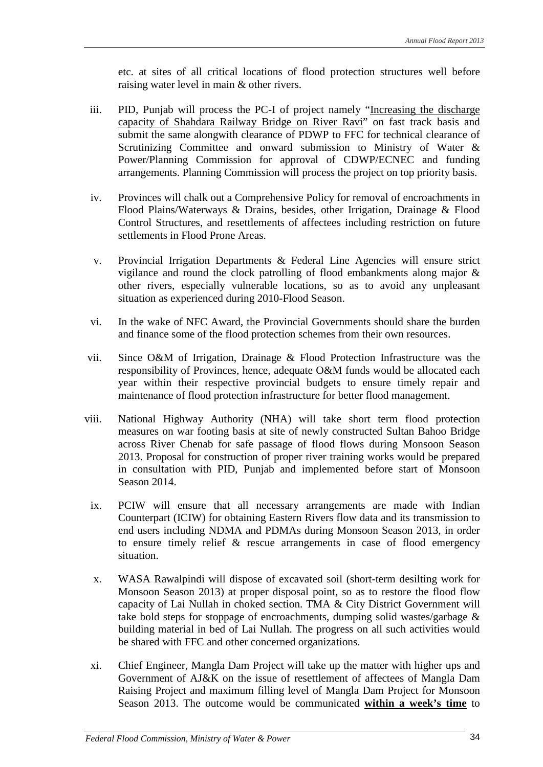etc. at sites of all critical locations of flood protection structures well before raising water level in main & other rivers.

- iii. PID, Punjab will process the PC-I of project namely "Increasing the discharge capacity of Shahdara Railway Bridge on River Ravi'' on fast track basis and submit the same alongwith clearance of PDWP to FFC for technical clearance of Scrutinizing Committee and onward submission to Ministry of Water & Power/Planning Commission for approval of CDWP/ECNEC and funding arrangements. Planning Commission will process the project on top priority basis.
- iv. Provinces will chalk out a Comprehensive Policy for removal of encroachments in Flood Plains/Waterways & Drains, besides, other Irrigation, Drainage & Flood Control Structures, and resettlements of affectees including restriction on future settlements in Flood Prone Areas.
- v. Provincial Irrigation Departments & Federal Line Agencies will ensure strict vigilance and round the clock patrolling of flood embankments along major & other rivers, especially vulnerable locations, so as to avoid any unpleasant situation as experienced during 2010-Flood Season.
- vi. In the wake of NFC Award, the Provincial Governments should share the burden and finance some of the flood protection schemes from their own resources.
- vii. Since O&M of Irrigation, Drainage & Flood Protection Infrastructure was the responsibility of Provinces, hence, adequate O&M funds would be allocated each year within their respective provincial budgets to ensure timely repair and maintenance of flood protection infrastructure for better flood management.
- viii. National Highway Authority (NHA) will take short term flood protection measures on war footing basis at site of newly constructed Sultan Bahoo Bridge across River Chenab for safe passage of flood flows during Monsoon Season 2013. Proposal for construction of proper river training works would be prepared in consultation with PID, Punjab and implemented before start of Monsoon Season 2014.
	- ix. PCIW will ensure that all necessary arrangements are made with Indian Counterpart (ICIW) for obtaining Eastern Rivers flow data and its transmission to end users including NDMA and PDMAs during Monsoon Season 2013, in order to ensure timely relief & rescue arrangements in case of flood emergency situation.
	- x. WASA Rawalpindi will dispose of excavated soil (short-term desilting work for Monsoon Season 2013) at proper disposal point, so as to restore the flood flow capacity of Lai Nullah in choked section. TMA & City District Government will take bold steps for stoppage of encroachments, dumping solid wastes/garbage & building material in bed of Lai Nullah. The progress on all such activities would be shared with FFC and other concerned organizations.
	- xi. Chief Engineer, Mangla Dam Project will take up the matter with higher ups and Government of AJ&K on the issue of resettlement of affectees of Mangla Dam Raising Project and maximum filling level of Mangla Dam Project for Monsoon Season 2013. The outcome would be communicated **within a week's time** to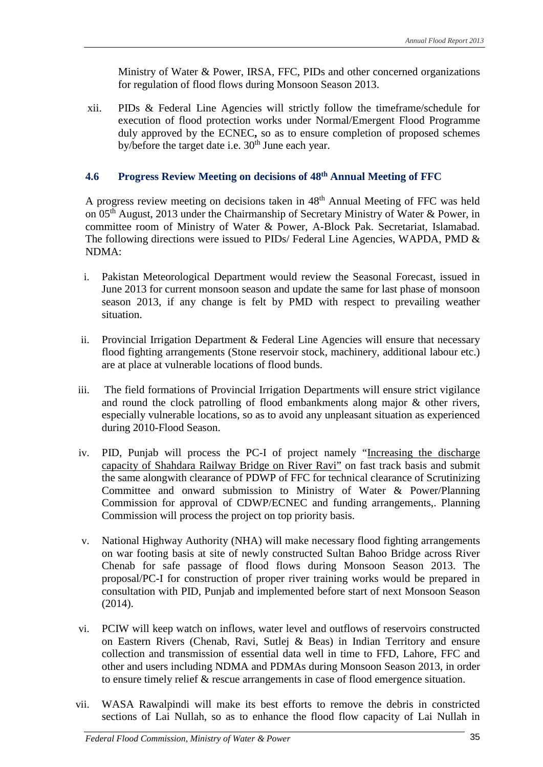Ministry of Water & Power, IRSA, FFC, PIDs and other concerned organizations for regulation of flood flows during Monsoon Season 2013.

xii. PIDs & Federal Line Agencies will strictly follow the timeframe/schedule for execution of flood protection works under Normal/Emergent Flood Programme duly approved by the ECNEC**,** so as to ensure completion of proposed schemes by/before the target date i.e.  $30<sup>th</sup>$  June each year.

#### **4.6 Progress Review Meeting on decisions of 48th Annual Meeting of FFC**

A progress review meeting on decisions taken in 48th Annual Meeting of FFC was held on 05<sup>th</sup> August, 2013 under the Chairmanship of Secretary Ministry of Water & Power, in committee room of Ministry of Water & Power, A-Block Pak. Secretariat, Islamabad. The following directions were issued to PIDs/ Federal Line Agencies, WAPDA, PMD & NDMA:

- i. Pakistan Meteorological Department would review the Seasonal Forecast, issued in June 2013 for current monsoon season and update the same for last phase of monsoon season 2013, if any change is felt by PMD with respect to prevailing weather situation.
- ii. Provincial Irrigation Department & Federal Line Agencies will ensure that necessary flood fighting arrangements (Stone reservoir stock, machinery, additional labour etc.) are at place at vulnerable locations of flood bunds.
- iii. The field formations of Provincial Irrigation Departments will ensure strict vigilance and round the clock patrolling of flood embankments along major & other rivers, especially vulnerable locations, so as to avoid any unpleasant situation as experienced during 2010-Flood Season.
- iv. PID, Punjab will process the PC-I of project namely "Increasing the discharge capacity of Shahdara Railway Bridge on River Ravi" on fast track basis and submit the same alongwith clearance of PDWP of FFC for technical clearance of Scrutinizing Committee and onward submission to Ministry of Water & Power/Planning Commission for approval of CDWP/ECNEC and funding arrangements,. Planning Commission will process the project on top priority basis.
- v. National Highway Authority (NHA) will make necessary flood fighting arrangements on war footing basis at site of newly constructed Sultan Bahoo Bridge across River Chenab for safe passage of flood flows during Monsoon Season 2013. The proposal/PC-I for construction of proper river training works would be prepared in consultation with PID, Punjab and implemented before start of next Monsoon Season (2014).
- vi. PCIW will keep watch on inflows, water level and outflows of reservoirs constructed on Eastern Rivers (Chenab, Ravi, Sutlej & Beas) in Indian Territory and ensure collection and transmission of essential data well in time to FFD, Lahore, FFC and other and users including NDMA and PDMAs during Monsoon Season 2013, in order to ensure timely relief & rescue arrangements in case of flood emergence situation.
- vii. WASA Rawalpindi will make its best efforts to remove the debris in constricted sections of Lai Nullah, so as to enhance the flood flow capacity of Lai Nullah in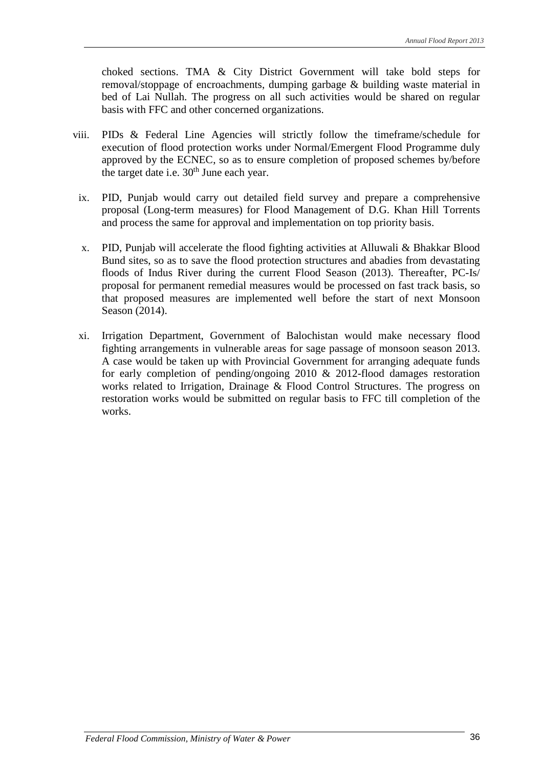choked sections. TMA & City District Government will take bold steps for removal/stoppage of encroachments, dumping garbage & building waste material in bed of Lai Nullah. The progress on all such activities would be shared on regular basis with FFC and other concerned organizations.

- viii. PIDs & Federal Line Agencies will strictly follow the timeframe/schedule for execution of flood protection works under Normal/Emergent Flood Programme duly approved by the ECNEC, so as to ensure completion of proposed schemes by/before the target date i.e.  $30<sup>th</sup>$  June each year.
	- ix. PID, Punjab would carry out detailed field survey and prepare a comprehensive proposal (Long-term measures) for Flood Management of D.G. Khan Hill Torrents and process the same for approval and implementation on top priority basis.
	- x. PID, Punjab will accelerate the flood fighting activities at Alluwali & Bhakkar Blood Bund sites, so as to save the flood protection structures and abadies from devastating floods of Indus River during the current Flood Season (2013). Thereafter, PC-Is/ proposal for permanent remedial measures would be processed on fast track basis, so that proposed measures are implemented well before the start of next Monsoon Season (2014).
	- xi. Irrigation Department, Government of Balochistan would make necessary flood fighting arrangements in vulnerable areas for sage passage of monsoon season 2013. A case would be taken up with Provincial Government for arranging adequate funds for early completion of pending/ongoing 2010 & 2012-flood damages restoration works related to Irrigation, Drainage & Flood Control Structures. The progress on restoration works would be submitted on regular basis to FFC till completion of the works.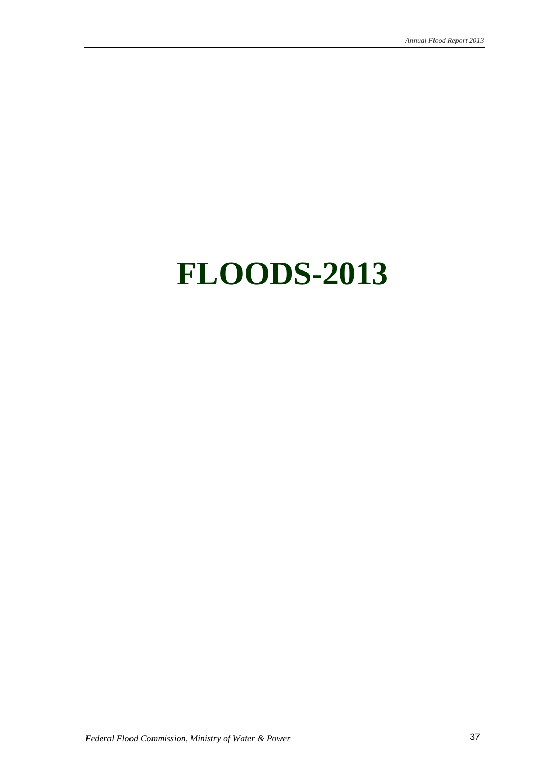# **FLOODS-2013**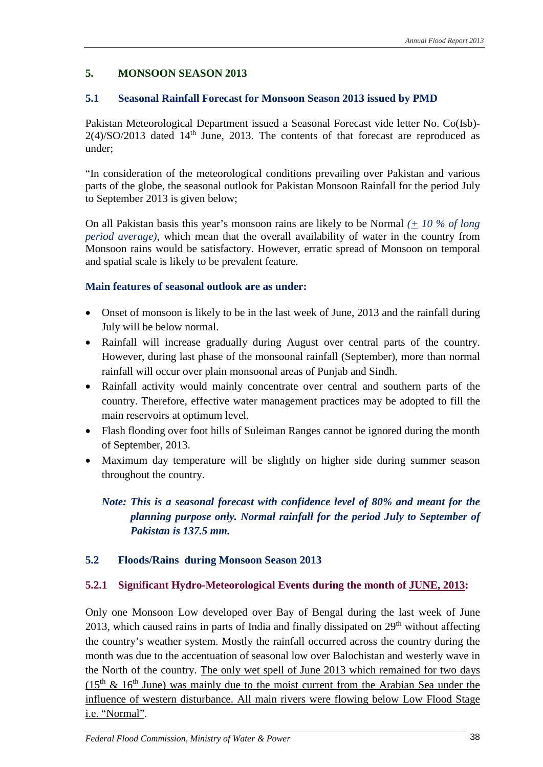#### **5. MONSOON SEASON 2013**

#### **5.1 Seasonal Rainfall Forecast for Monsoon Season 2013 issued by PMD**

Pakistan Meteorological Department issued a Seasonal Forecast vide letter No. Co(Isb)-  $2(4)/SO/2013$  dated  $14<sup>th</sup>$  June, 2013. The contents of that forecast are reproduced as under;

"In consideration of the meteorological conditions prevailing over Pakistan and various parts of the globe, the seasonal outlook for Pakistan Monsoon Rainfall for the period July to September 2013 is given below;

On all Pakistan basis this year's monsoon rains are likely to be Normal *(+ 10 % of long period average)*, which mean that the overall availability of water in the country from Monsoon rains would be satisfactory. However, erratic spread of Monsoon on temporal and spatial scale is likely to be prevalent feature.

#### **Main features of seasonal outlook are as under:**

- Onset of monsoon is likely to be in the last week of June, 2013 and the rainfall during July will be below normal.
- Rainfall will increase gradually during August over central parts of the country. However, during last phase of the monsoonal rainfall (September), more than normal rainfall will occur over plain monsoonal areas of Punjab and Sindh.
- Rainfall activity would mainly concentrate over central and southern parts of the country. Therefore, effective water management practices may be adopted to fill the main reservoirs at optimum level.
- Flash flooding over foot hills of Suleiman Ranges cannot be ignored during the month of September, 2013.
- Maximum day temperature will be slightly on higher side during summer season throughout the country.

*Note: This is a seasonal forecast with confidence level of 80% and meant for the planning purpose only. Normal rainfall for the period July to September of Pakistan is 137.5 mm.* 

#### **5.2 Floods/Rains during Monsoon Season 2013**

#### **5.2.1 Significant Hydro-Meteorological Events during the month of JUNE, 2013:**

Only one Monsoon Low developed over Bay of Bengal during the last week of June 2013, which caused rains in parts of India and finally dissipated on  $29<sup>th</sup>$  without affecting the country's weather system. Mostly the rainfall occurred across the country during the month was due to the accentuation of seasonal low over Balochistan and westerly wave in the North of the country. The only wet spell of June 2013 which remained for two days  $(15<sup>th</sup> \& 16<sup>th</sup>$  June) was mainly due to the moist current from the Arabian Sea under the influence of western disturbance. All main rivers were flowing below Low Flood Stage i.e. "Normal".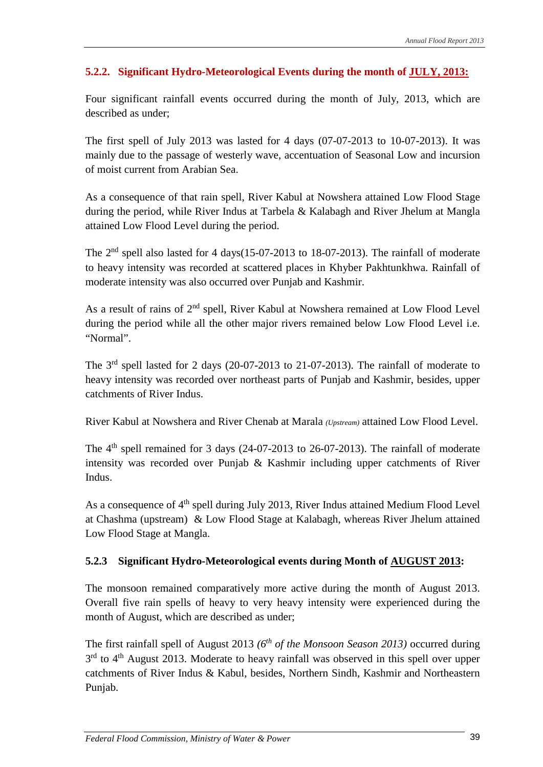#### **5.2.2. Significant Hydro-Meteorological Events during the month of JULY, 2013:**

Four significant rainfall events occurred during the month of July, 2013, which are described as under;

The first spell of July 2013 was lasted for 4 days (07-07-2013 to 10-07-2013). It was mainly due to the passage of westerly wave, accentuation of Seasonal Low and incursion of moist current from Arabian Sea.

As a consequence of that rain spell, River Kabul at Nowshera attained Low Flood Stage during the period, while River Indus at Tarbela & Kalabagh and River Jhelum at Mangla attained Low Flood Level during the period.

The 2<sup>nd</sup> spell also lasted for 4 days(15-07-2013 to 18-07-2013). The rainfall of moderate to heavy intensity was recorded at scattered places in Khyber Pakhtunkhwa. Rainfall of moderate intensity was also occurred over Punjab and Kashmir.

As a result of rains of  $2<sup>nd</sup>$  spell, River Kabul at Nowshera remained at Low Flood Level during the period while all the other major rivers remained below Low Flood Level i.e. "Normal".

The 3rd spell lasted for 2 days (20-07-2013 to 21-07-2013). The rainfall of moderate to heavy intensity was recorded over northeast parts of Punjab and Kashmir, besides, upper catchments of River Indus.

River Kabul at Nowshera and River Chenab at Marala *(Upstream)* attained Low Flood Level.

The  $4<sup>th</sup>$  spell remained for 3 days (24-07-2013 to 26-07-2013). The rainfall of moderate intensity was recorded over Punjab & Kashmir including upper catchments of River Indus.

As a consequence of 4<sup>th</sup> spell during July 2013, River Indus attained Medium Flood Level at Chashma (upstream) & Low Flood Stage at Kalabagh, whereas River Jhelum attained Low Flood Stage at Mangla.

#### **5.2.3 Significant Hydro-Meteorological events during Month of AUGUST 2013:**

The monsoon remained comparatively more active during the month of August 2013. Overall five rain spells of heavy to very heavy intensity were experienced during the month of August, which are described as under;

The first rainfall spell of August 2013 *(6th of the Monsoon Season 2013)* occurred during  $3<sup>rd</sup>$  to  $4<sup>th</sup>$  August 2013. Moderate to heavy rainfall was observed in this spell over upper catchments of River Indus & Kabul, besides, Northern Sindh, Kashmir and Northeastern Punjab.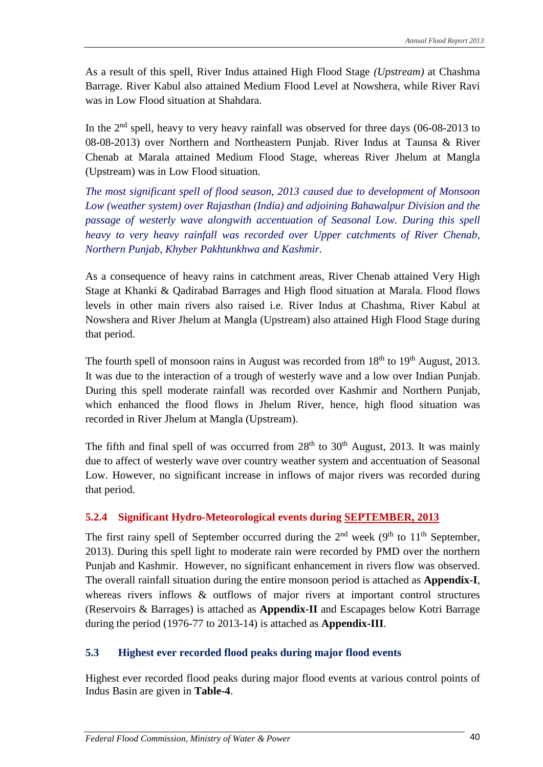As a result of this spell, River Indus attained High Flood Stage *(Upstream)* at Chashma Barrage. River Kabul also attained Medium Flood Level at Nowshera, while River Ravi was in Low Flood situation at Shahdara.

In the  $2<sup>nd</sup>$  spell, heavy to very heavy rainfall was observed for three days (06-08-2013 to 08-08-2013) over Northern and Northeastern Punjab. River Indus at Taunsa & River Chenab at Marala attained Medium Flood Stage, whereas River Jhelum at Mangla (Upstream) was in Low Flood situation.

*The most significant spell of flood season, 2013 caused due to development of Monsoon Low (weather system) over Rajasthan (India) and adjoining Bahawalpur Division and the passage of westerly wave alongwith accentuation of Seasonal Low. During this spell heavy to very heavy rainfall was recorded over Upper catchments of River Chenab, Northern Punjab, Khyber Pakhtunkhwa and Kashmir.* 

As a consequence of heavy rains in catchment areas, River Chenab attained Very High Stage at Khanki & Qadirabad Barrages and High flood situation at Marala. Flood flows levels in other main rivers also raised i.e. River Indus at Chashma, River Kabul at Nowshera and River Jhelum at Mangla (Upstream) also attained High Flood Stage during that period.

The fourth spell of monsoon rains in August was recorded from 18<sup>th</sup> to 19<sup>th</sup> August, 2013. It was due to the interaction of a trough of westerly wave and a low over Indian Punjab. During this spell moderate rainfall was recorded over Kashmir and Northern Punjab, which enhanced the flood flows in Jhelum River, hence, high flood situation was recorded in River Jhelum at Mangla (Upstream).

The fifth and final spell of was occurred from  $28<sup>th</sup>$  to  $30<sup>th</sup>$  August, 2013. It was mainly due to affect of westerly wave over country weather system and accentuation of Seasonal Low. However, no significant increase in inflows of major rivers was recorded during that period.

#### **5.2.4 Significant Hydro-Meteorological events during SEPTEMBER, 2013**

The first rainy spell of September occurred during the  $2<sup>nd</sup>$  week (9<sup>th</sup> to 11<sup>th</sup> September, 2013). During this spell light to moderate rain were recorded by PMD over the northern Punjab and Kashmir. However, no significant enhancement in rivers flow was observed. The overall rainfall situation during the entire monsoon period is attached as **Appendix-I**, whereas rivers inflows & outflows of major rivers at important control structures (Reservoirs & Barrages) is attached as **Appendix-II** and Escapages below Kotri Barrage during the period (1976-77 to 2013-14) is attached as **Appendix-III**.

#### **5.3 Highest ever recorded flood peaks during major flood events**

Highest ever recorded flood peaks during major flood events at various control points of Indus Basin are given in **Table-4**.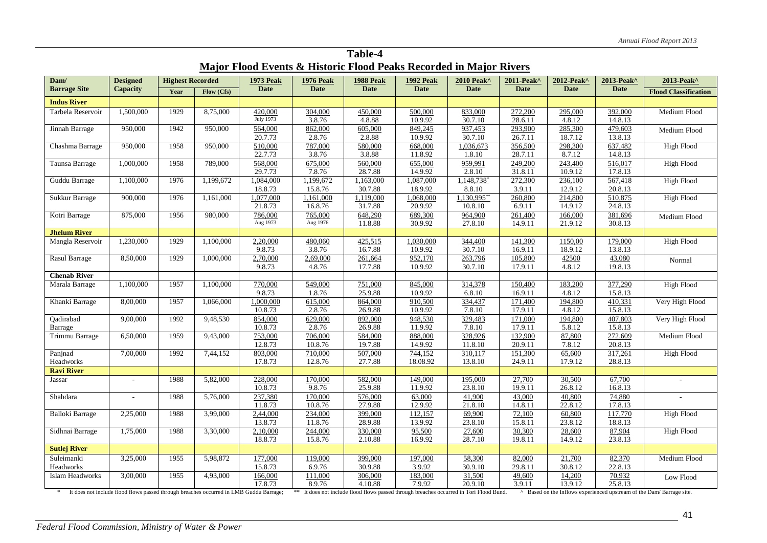| Major Flood Events & Historic Flood Peaks Recorded in Major Rivers                       |                 |                         |            |                    |                    |                                                                                         |                   |                    |                   |                   |                   |                                                                       |
|------------------------------------------------------------------------------------------|-----------------|-------------------------|------------|--------------------|--------------------|-----------------------------------------------------------------------------------------|-------------------|--------------------|-------------------|-------------------|-------------------|-----------------------------------------------------------------------|
| Dam/                                                                                     | <b>Designed</b> | <b>Highest Recorded</b> |            | <b>1973 Peak</b>   | <b>1976 Peak</b>   | <b>1988 Peak</b>                                                                        | <b>1992 Peak</b>  | 2010 Peak^         | 2011-Peak^        | 2012-Peak^        | 2013-Peak^        | 2013-Peak^                                                            |
| <b>Barrage Site</b>                                                                      | Capacity        | Year                    | Flow (Cfs) | Date               | Date               | Date                                                                                    | Date              | <b>Date</b>        | <b>Date</b>       | Date              | <b>Date</b>       | <b>Flood Classification</b>                                           |
| <b>Indus River</b>                                                                       |                 |                         |            |                    |                    |                                                                                         |                   |                    |                   |                   |                   |                                                                       |
| Tarbela Reservoir                                                                        | 1,500,000       | 1929                    | 8,75,000   | 420,000            | 304,000            | 450,000                                                                                 | 500,000           | 833,000            | 272,200           | 295,000           | 392,000           | Medium Flood                                                          |
|                                                                                          |                 |                         |            | July 1973          | 3.8.76             | 4.8.88                                                                                  | 10.9.92           | 30.7.10            | 28.6.11           | 4.8.12            | 14.8.13           |                                                                       |
| Jinnah Barrage                                                                           | 950,000         | 1942                    | 950,000    | 564,000            | 862,000            | 605,000                                                                                 | 849,245           | 937,453            | 293,900           | 285,300           | 479,603           | Medium Flood                                                          |
|                                                                                          |                 |                         |            | 20.7.73            | 2.8.76             | 2.8.88                                                                                  | 10.9.92           | 30.7.10            | 26.7.11           | 18.7.12           | 13.8.13           |                                                                       |
| Chashma Barrage                                                                          | 950,000         | 1958                    | 950,000    | 510,000            | 787,000            | 580,000                                                                                 | 668,000           | 1,036,673          | 356,500           | 298,300           | 637,482           | High Flood                                                            |
|                                                                                          |                 |                         |            | 22.7.73            | 3.8.76             | 3.8.88                                                                                  | 11.8.92           | 1.8.10             | 28.7.11           | 8.7.12            | 14.8.13           |                                                                       |
| Taunsa Barrage                                                                           | 1,000,000       | 1958                    | 789,000    | 568,000            | 675,000            | 560,000                                                                                 | 655,000           | 959,991            | 249,200           | 243,400           | 516,017           | High Flood                                                            |
|                                                                                          |                 |                         |            | 29.7.73            | 7.8.76             | 28.7.88                                                                                 | 14.9.92           | 2.8.10             | 31.8.11           | 10.9.12           | 17.8.13           |                                                                       |
| Guddu Barrage                                                                            | 1,100,000       | 1976                    | 1,199,672  | 1,084,000          | 1,199,672          | 1,163,000                                                                               | 1,087,000         | 1,148,738          | 272,300           | 236,100           | 567,418           | <b>High Flood</b>                                                     |
|                                                                                          |                 |                         |            | 18.8.73            | 15.8.76            | 30.7.88                                                                                 | 18.9.92           | 8.8.10             | 3.9.11            | 12.9.12           | 20.8.13           |                                                                       |
| Sukkur Barrage                                                                           | 900,000         | 1976                    | 1,161,000  | 1,077,000          | 1,161,000          | 1,119,000                                                                               | 1,068,000         | 1,130,995**        | 260,800           | 214,800           | 510,875           | <b>High Flood</b>                                                     |
|                                                                                          |                 |                         |            | 21.8.73            | 16.8.76            | 31.7.88                                                                                 | 20.9.92           | 10.8.10            | 6.9.11            | 14.9.12           | 24.8.13           |                                                                       |
| Kotri Barrage                                                                            | 875,000         | 1956                    | 980,000    | 786,000            | 765,000            | 648,290                                                                                 | 689,300           | 964,900            | 261,400           | 166,000           | 381,696           | Medium Flood                                                          |
|                                                                                          |                 |                         |            | Aug 1973           | Aug 1976           | 11.8.88                                                                                 | 30.9.92           | 27.8.10            | 14.9.11           | 21.9.12           | 30.8.13           |                                                                       |
| <b>Jhelum River</b>                                                                      |                 |                         |            |                    |                    |                                                                                         |                   |                    |                   |                   |                   |                                                                       |
| Mangla Reservoir                                                                         | 1,230,000       | 1929                    | 1,100,000  | 2,20,000           | 480,060            | 425,515                                                                                 | 1,030,000         | 344,400            | 141,300           | 1150,00           | 179,000           | <b>High Flood</b>                                                     |
|                                                                                          |                 |                         |            | 9.8.73             | 3.8.76             | 16.7.88                                                                                 | 10.9.92           | 30.7.10            | 16.9.11           | 18.9.12           | 13.8.13           |                                                                       |
| Rasul Barrage                                                                            | 8,50,000        | 1929                    | 1,000,000  | 2,70,000           | 2,69,000           | 261,664                                                                                 | 952,170           | 263,796            | 105,800           | 42500             | 43,080            | Normal                                                                |
|                                                                                          |                 |                         |            | 9.8.73             | 4.8.76             | 17.7.88                                                                                 | 10.9.92           | 30.7.10            | 17.9.11           | 4.8.12            | 19.8.13           |                                                                       |
| <b>Chenab River</b>                                                                      |                 |                         |            |                    |                    |                                                                                         |                   |                    |                   |                   |                   |                                                                       |
| Marala Barrage                                                                           | 1,100,000       | 1957                    | 1,100,000  | 770,000            | 549,000            | 751,000                                                                                 | 845,000           | 314,378            | 150,400           | 183,200           | 377,290           | <b>High Flood</b>                                                     |
|                                                                                          |                 |                         |            | 9.8.73             | 1.8.76             | 25.9.88                                                                                 | 10.9.92           | 6.8.10             | 16.9.11           | 4.8.12            | 15.8.13           |                                                                       |
| Khanki Barrage                                                                           | 8,00,000        | 1957                    | 1,066,000  | 1,000,000          | 615,000            | 864,000                                                                                 | 910,500           | 334,437            | 171,400           | 194,800           | 410,331           | Very High Flood                                                       |
|                                                                                          |                 |                         |            | 10.8.73            | 2.8.76             | 26.9.88                                                                                 | 10.9.92           | 7.8.10             | 17.9.11           | 4.8.12            | 15.8.13           |                                                                       |
| Qadirabad                                                                                | 9,00,000        | 1992                    | 9,48,530   | 854,000            | 629,000            | 892,000                                                                                 | 948,530           | 329,483            | 171,000           | 194,800           | 407,803           | Very High Flood                                                       |
| Barrage                                                                                  |                 |                         |            | 10.8.73            | 2.8.76             | 26.9.88                                                                                 | 11.9.92           | 7.8.10             | 17.9.11           | 5.8.12            | 15.8.13           |                                                                       |
| Trimmu Barrage                                                                           | 6,50,000        | 1959                    | 9,43,000   | 753,000            | 706,000            | 584,000                                                                                 | 888,000           | 328,926            | 132,900           | 87,800            | 272,609           | Medium Flood                                                          |
|                                                                                          |                 |                         |            | 12.8.73            | 10.8.76            | 19.7.88                                                                                 | 14.9.92           | 11.8.10            | 20.9.11           | 7.8.12            | 20.8.13           |                                                                       |
| Panjnad                                                                                  | 7,00,000        | 1992                    | 7,44,152   | 803,000            | 710,000            | 507,000                                                                                 | 744,152           | 310,117            | 151,300           | 65,600            | 317,261           | High Flood                                                            |
| Headworks                                                                                |                 |                         |            | 17.8.73            | 12.8.76            | 27.7.88                                                                                 | 18.08.92          | 13.8.10            | 24.9.11           | 17.9.12           | 28.8.13           |                                                                       |
| <b>Ravi River</b>                                                                        |                 |                         |            |                    |                    |                                                                                         |                   |                    |                   |                   |                   |                                                                       |
| Jassar                                                                                   |                 | 1988                    | 5,82,000   | 228,000            | 170,000            | 582,000<br>25.9.88                                                                      | 149,000           | 195,000<br>23.8.10 | 27,700<br>19.9.11 | 30,500            | 67,700            |                                                                       |
|                                                                                          |                 |                         |            | 10.8.73            | 9.8.76             |                                                                                         | 11.9.92           |                    |                   | 26.8.12           | 16.8.13           |                                                                       |
| Shahdara                                                                                 | $\sim$          | 1988                    | 5,76,000   | 237,380<br>11.8.73 | 170,000<br>10.8.76 | 576,000<br>27.9.88                                                                      | 63,000<br>12.9.92 | 41,900<br>21.8.10  | 43,000<br>14.8.11 | 40,800<br>22.8.12 | 74,880<br>17.8.13 |                                                                       |
| <b>Balloki Barrage</b>                                                                   | 2,25,000        | 1988                    | 3,99,000   | 2,44,000           | 234,000            | 399,000                                                                                 | 112,157           | 69,900             | 72,100            | 60,800            | 117,770           |                                                                       |
|                                                                                          |                 |                         |            | 13.8.73            | 11.8.76            | 28.9.88                                                                                 | 13.9.92           | 23.8.10            | 15.8.11           | 23.8.12           | 18.8.13           | High Flood                                                            |
| Sidhnai Barrage                                                                          | 1,75,000        | 1988                    | 3,30,000   | 2,10,000           | 244,000            | 330,000                                                                                 | 95,500            | 27,600             | 30,300            |                   | 87,904            | High Flood                                                            |
|                                                                                          |                 |                         |            | 18.8.73            | 15.8.76            | 2.10.88                                                                                 | 16.9.92           | 28.7.10            | 19.8.11           | 28,600<br>14.9.12 | 23.8.13           |                                                                       |
| <b>Sutlej River</b>                                                                      |                 |                         |            |                    |                    |                                                                                         |                   |                    |                   |                   |                   |                                                                       |
| Suleimanki                                                                               | 3,25,000        | 1955                    | 5,98,872   | 177,000            | 119,000            | 399,000                                                                                 | 197,000           | 58,300             | 82,000            | 21,700            | 82,370            | Medium Flood                                                          |
| Headworks                                                                                |                 |                         |            | 15.8.73            | 6.9.76             | 30.9.88                                                                                 | 3.9.92            | 30.9.10            | 29.8.11           | 30.8.12           | 22.8.13           |                                                                       |
| Islam Headworks                                                                          | 3,00,000        | 1955                    | 4,93,000   | 166,000            | 111,000            | 306,000                                                                                 | 183,000           | 31,500             | 49,600            | 14,200            | 70,932            | Low Flood                                                             |
|                                                                                          |                 |                         |            | 17.8.73            | 8.9.76             | 4.10.88                                                                                 | 7.9.92            | 20.9.10            | 3.9.11            | 13.9.12           | 25.8.13           |                                                                       |
| * It does not include flood flows passed through breaches occurred in LMB Guddu Barrage; |                 |                         |            |                    |                    | ** It does not include flood flows passed through breaches occurred in Tori Flood Bund. |                   |                    |                   |                   |                   | A Based on the Inflows experienced upstream of the Dam/ Barrage site. |

**Table-4**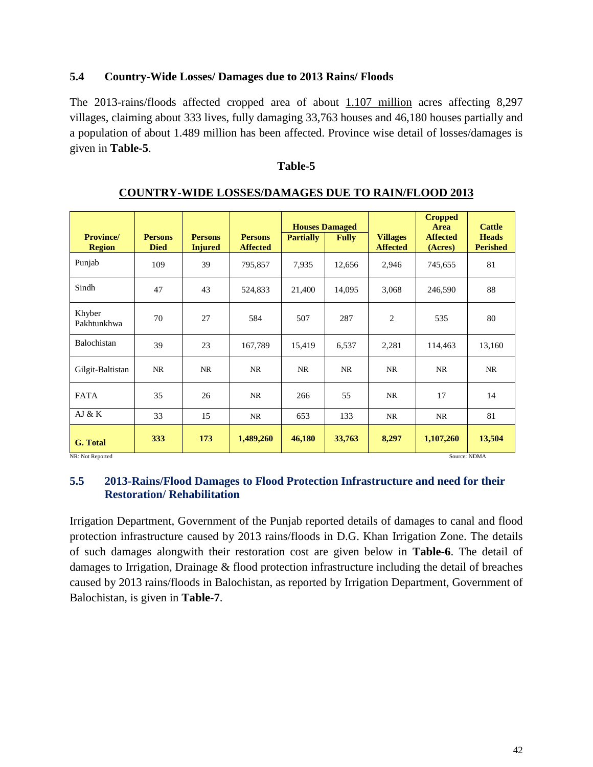#### **5.4 Country-Wide Losses/ Damages due to 2013 Rains/ Floods**

The 2013-rains/floods affected cropped area of about 1.107 million acres affecting 8,297 villages, claiming about 333 lives, fully damaging 33,763 houses and 46,180 houses partially and a population of about 1.489 million has been affected. Province wise detail of losses/damages is given in **Table-5**.

#### **Table-5**

|                                   |                               |                                  |                                   | <b>Houses Damaged</b> |              |                                    | <b>Cropped</b><br><b>Area</b> | <b>Cattle</b>                   |
|-----------------------------------|-------------------------------|----------------------------------|-----------------------------------|-----------------------|--------------|------------------------------------|-------------------------------|---------------------------------|
| <b>Province/</b><br><b>Region</b> | <b>Persons</b><br><b>Died</b> | <b>Persons</b><br><b>Injured</b> | <b>Persons</b><br><b>Affected</b> | <b>Partially</b>      | <b>Fully</b> | <b>Villages</b><br><b>Affected</b> | <b>Affected</b><br>(Acres)    | <b>Heads</b><br><b>Perished</b> |
| Punjab                            | 109                           | 39                               | 795,857                           | 7,935                 | 12,656       | 2,946                              | 745,655                       | 81                              |
| Sindh                             | 47                            | 43                               | 524,833                           | 21,400                | 14,095       | 3,068                              | 246,590                       | 88                              |
| Khyber<br>Pakhtunkhwa             | 70                            | 27                               | 584                               | 507                   | 287          | 2                                  | 535                           | 80                              |
| Balochistan                       | 39                            | 23                               | 167,789                           | 15,419                | 6,537        | 2,281                              | 114,463                       | 13,160                          |
| Gilgit-Baltistan                  | NR                            | NR                               | NR                                | NR                    | NR           | NR                                 | NR                            | NR                              |
| <b>FATA</b>                       | 35                            | 26                               | NR                                | 266                   | 55           | NR                                 | 17                            | 14                              |
| AJ & K                            | 33                            | 15                               | NR                                | 653                   | 133          | NR                                 | <b>NR</b>                     | 81                              |
| G. Total<br>NR: Not Reported      | 333                           | 173                              | 1,489,260                         | 46,180                | 33,763       | 8,297                              | 1,107,260<br>Source: NDMA     | 13,504                          |

#### **COUNTRY-WIDE LOSSES/DAMAGES DUE TO RAIN/FLOOD 2013**

#### **5.5 2013-Rains/Flood Damages to Flood Protection Infrastructure and need for their Restoration/ Rehabilitation**

Irrigation Department, Government of the Punjab reported details of damages to canal and flood protection infrastructure caused by 2013 rains/floods in D.G. Khan Irrigation Zone. The details of such damages alongwith their restoration cost are given below in **Table-6**. The detail of damages to Irrigation, Drainage & flood protection infrastructure including the detail of breaches caused by 2013 rains/floods in Balochistan, as reported by Irrigation Department, Government of Balochistan, is given in **Table-7**.